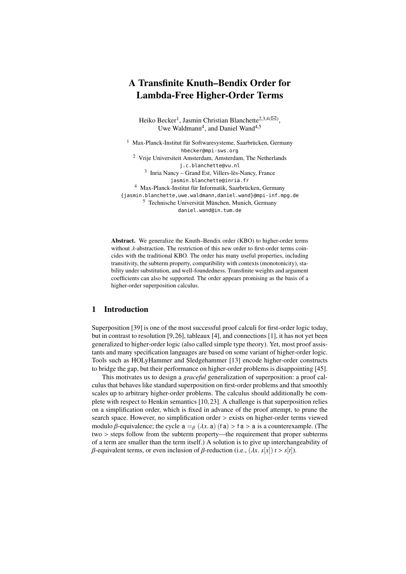# A Transfinite Knuth–Bendix Order for Lambda-Free Higher-Order Terms

Heiko Becker<sup>1</sup>, Jasmin Christian Blanchette<sup>2,3,4( $\boxtimes$ )</sup>, Uwe Waldmann<sup>4</sup>, and Daniel Wand<sup>4,5</sup>

<sup>1</sup> Max-Planck-Institut für Softwaresysteme, Saarbrücken, Germany hbecker@mpi-sws.org <sup>2</sup> Vrije Universiteit Amsterdam, Amsterdam, The Netherlands j.c.blanchette@vu.nl 3 Inria Nancy – Grand Est, Villers-lès-Nancy, France jasmin.blanchette@inria.fr <sup>4</sup> Max-Planck-Institut für Informatik, Saarbrücken, Germany {jasmin.blanchette,uwe.waldmann,daniel.wand}@mpi-inf.mpg.de <sup>5</sup> Technische Universität München, Munich, Germany daniel.wand@in.tum.de

Abstract. We generalize the Knuth–Bendix order (KBO) to higher-order terms without  $\lambda$ -abstraction. The restriction of this new order to first-order terms coincides with the traditional KBO. The order has many useful properties, including transitivity, the subterm property, compatibility with contexts (monotonicity), stability under substitution, and well-foundedness. Transfinite weights and argument coefficients can also be supported. The order appears promising as the basis of a higher-order superposition calculus.

# 1 Introduction

Superposition [\[39\]](#page-18-0) is one of the most successful proof calculi for first-order logic today, but in contrast to resolution [\[9,](#page-16-0)[26\]](#page-17-0), tableaux [\[4\]](#page-16-1), and connections [\[1\]](#page-16-2), it has not yet been generalized to higher-order logic (also called simple type theory). Yet, most proof assistants and many specification languages are based on some variant of higher-order logic. Tools such as HOLyHammer and Sledgehammer [\[13\]](#page-16-3) encode higher-order constructs to bridge the gap, but their performance on higher-order problems is disappointing [\[45\]](#page-18-1).

This motivates us to design a *graceful* generalization of superposition: a proof calculus that behaves like standard superposition on first-order problems and that smoothly scales up to arbitrary higher-order problems. The calculus should additionally be complete with respect to Henkin semantics [\[10,](#page-16-4) [23\]](#page-17-1). A challenge is that superposition relies on a simplification order, which is fixed in advance of the proof attempt, to prune the search space. However, no simplification order > exists on higher-order terms viewed modulo *β*-equivalence; the cycle  $a =_\beta (\lambda x, a)$  (f a) > f a > a is a counterexample. (The two > steps follow from the subterm property—the requirement that proper subterms of a term are smaller than the term itself.) A solution is to give up interchangeability of β-equivalent terms, or even inclusion of β-reduction (i.e.,  $(λx, s[x]) t > s[t]$ ).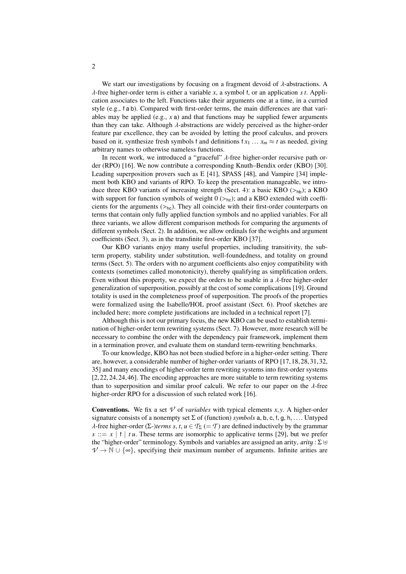We start our investigations by focusing on a fragment devoid of  $\lambda$ -abstractions. A λ-free higher-order term is either a variable *<sup>x</sup>*, a symbol <sup>f</sup>, or an application *s t*. Application associates to the left. Functions take their arguments one at a time, in a curried style (e.g., f a b). Compared with first-order terms, the main differences are that variables may be applied (e.g., *x* a) and that functions may be supplied fewer arguments than they can take. Although  $\lambda$ -abstractions are widely perceived as the higher-order feature par excellence, they can be avoided by letting the proof calculus, and provers based on it, synthesize fresh symbols f and definitions  $f x_1 ... x_m \approx t$  as needed, giving arbitrary names to otherwise nameless functions.

In recent work, we introduced a "graceful" λ-free higher-order recursive path order (RPO) [\[16\]](#page-17-2). We now contribute a corresponding Knuth–Bendix order (KBO) [\[30\]](#page-17-3). Leading superposition provers such as E [\[41\]](#page-18-2), SPASS [\[48\]](#page-18-3), and Vampire [\[34\]](#page-17-4) implement both KBO and variants of RPO. To keep the presentation manageable, we intro-duce three KBO variants of increasing strength (Sect. [4\)](#page-5-0): a basic KBO ( $>_{hb}$ ); a KBO with support for function symbols of weight  $0 \rightarrow hz$ ); and a KBO extended with coefficients for the arguments  $(\geq_{he})$ . They all coincide with their first-order counterparts on terms that contain only fully applied function symbols and no applied variables. For all three variants, we allow different comparison methods for comparing the arguments of different symbols (Sect. [2\)](#page-2-0). In addition, we allow ordinals for the weights and argument coefficients (Sect. [3\)](#page-4-0), as in the transfinite first-order KBO [\[37\]](#page-18-4).

Our KBO variants enjoy many useful properties, including transitivity, the subterm property, stability under substitution, well-foundedness, and totality on ground terms (Sect. [5\)](#page-10-0). The orders with no argument coefficients also enjoy compatibility with contexts (sometimes called monotonicity), thereby qualifying as simplification orders. Even without this property, we expect the orders to be usable in a  $\lambda$ -free higher-order generalization of superposition, possibly at the cost of some complications [\[19\]](#page-17-5). Ground totality is used in the completeness proof of superposition. The proofs of the properties were formalized using the Isabelle/HOL proof assistant (Sect. [6\)](#page-13-0). Proof sketches are included here; more complete justifications are included in a technical report [\[7\]](#page-16-5).

Although this is not our primary focus, the new KBO can be used to establish termination of higher-order term rewriting systems (Sect. [7\)](#page-14-0). However, more research will be necessary to combine the order with the dependency pair framework, implement them in a termination prover, and evaluate them on standard term-rewriting benchmarks.

To our knowledge, KBO has not been studied before in a higher-order setting. There are, however, a considerable number of higher-order variants of RPO [\[17,](#page-17-6) [18,](#page-17-7) [28,](#page-17-8) [31,](#page-17-9) [32,](#page-17-10) [35\]](#page-18-5) and many encodings of higher-order term rewriting systems into first-order systems [\[2,](#page-16-6) [22,](#page-17-11) [24, 24,](#page-17-12) [46\]](#page-18-6). The encoding approaches are more suitable to term rewriting systems than to superposition and similar proof calculi. We refer to our paper on the  $\lambda$ -free higher-order RPO for a discussion of such related work [\[16\]](#page-17-2).

**Conventions.** We fix a set  $\nu$  of *variables* with typical elements *x*, *y*. A higher-order signature consists of a nonempty set <sup>Σ</sup> of (function) *symbols* <sup>a</sup>, <sup>b</sup>, <sup>c</sup>, <sup>f</sup>, <sup>g</sup>, <sup>h</sup>, .... Untyped  $λ$ -free higher-order (Σ-)*terms s*, *t*, *u* ∈  $T_Σ$  (=  $T$ ) are defined inductively by the grammar  $s ::= x | f | t u$ . These terms are isomorphic to applicative terms [\[29\]](#page-17-13), but we prefer the "higher-order" terminology. Symbols and variables are assigned an arity,  $arity : \Sigma \uplus$  $\mathcal{V} \to \mathbb{N} \cup \{\infty\}$ , specifying their maximum number of arguments. Infinite arities are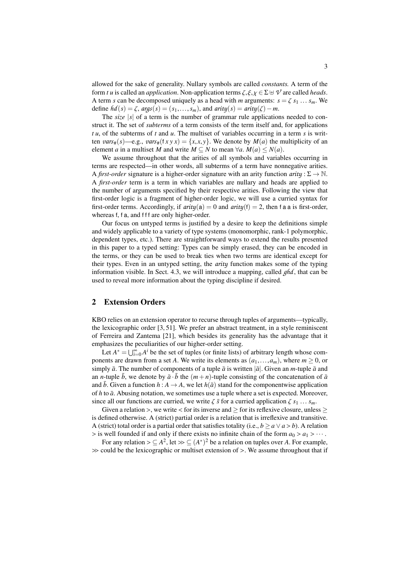allowed for the sake of generality. Nullary symbols are called *constants.* A term of the form *t u* is called an *application*. Non-application terms  $\zeta, \xi, \chi \in \Sigma \oplus \mathcal{V}$  are called *heads*. A term *s* can be decomposed uniquely as a head with *m* arguments:  $s = \zeta s_1 ... s_m$ . We define  $hd(s) = \zeta$ ,  $args(s) = (s_1, \ldots, s_m)$ , and  $arity(s) = arity(\zeta) - m$ .

The *size* |s| of a term is the number of grammar rule applications needed to construct it. The set of *subterms* of a term consists of the term itself and, for applications *t u*, of the subterms of *t* and *u*. The multiset of variables occurring in a term *s* is written *vars*#(*s*)—e.g., *vars*#(f*x y x*) = {*x, x, y*}. We denote by *M*(*a*) the multiplicity of an element *a* in a multiset *M* and write  $M \subseteq N$  to mean  $\forall a$ .  $M(a) \leq N(a)$ .

We assume throughout that the arities of all symbols and variables occurring in terms are respected—in other words, all subterms of a term have nonnegative arities. A *first-order* signature is a higher-order signature with an arity function  $arity : \Sigma \to \mathbb{N}$ . A *first-order* term is a term in which variables are nullary and heads are applied to the number of arguments specified by their respective arities. Following the view that first-order logic is a fragment of higher-order logic, we will use a curried syntax for first-order terms. Accordingly, if  $arity(a) = 0$  and  $arity(f) = 2$ , then f a a is first-order, whereas f, f a, and f f f are only higher-order.

Our focus on untyped terms is justified by a desire to keep the definitions simple and widely applicable to a variety of type systems (monomorphic, rank-1 polymorphic, dependent types, etc.). There are straightforward ways to extend the results presented in this paper to a typed setting: Types can be simply erased, they can be encoded in the terms, or they can be used to break ties when two terms are identical except for their types. Even in an untyped setting, the *arity* function makes some of the typing information visible. In Sect. [4.3,](#page-6-0) we will introduce a mapping, called *ghd*, that can be used to reveal more information about the typing discipline if desired.

# <span id="page-2-0"></span>2 Extension Orders

KBO relies on an extension operator to recurse through tuples of arguments—typically, the lexicographic order [\[3,](#page-16-7) [51\]](#page-18-7). We prefer an abstract treatment, in a style reminiscent of Ferreira and Zantema [\[21\]](#page-17-14), which besides its generality has the advantage that it emphasizes the peculiarities of our higher-order setting.

Let  $A^* = \bigcup_{i=0}^{\infty} A^i$  be the set of tuples (or finite lists) of arbitrary length whose components are drawn from a set *A*. We write its elements as  $(a_1, \ldots, a_m)$ , where  $m \geq 0$ , or simply  $\bar{a}$ . The number of components of a tuple  $\bar{a}$  is written  $|\bar{a}|$ . Given an *m*-tuple  $\bar{a}$  and an *n*-tuple  $\bar{b}$ , we denote by  $\bar{a} \cdot \bar{b}$  the  $(m+n)$ -tuple consisting of the concatenation of  $\bar{a}$ and  $\bar{b}$ . Given a function  $h : A \to A$ , we let  $h(\bar{a})$  stand for the componentwise application of *h* to  $\bar{a}$ . Abusing notation, we sometimes use a tuple where a set is expected. Moreover, since all our functions are curried, we write  $\zeta \bar{s}$  for a curried application  $\zeta s_1 \ldots s_m$ .

Given a relation >, we write < for its inverse and > for its reflexive closure, unless > is defined otherwise. A (strict) partial order is a relation that is irreflexive and transitive. A (strict) total order is a partial order that satisfies totality (i.e.,  $b \ge a \lor a > b$ ). A relation  $>$  is well founded if and only if there exists no infinite chain of the form  $a_0 > a_1 > \cdots$ .

For any relation  $\geq \leq A^2$ , let  $\gg \leq (A^*)^2$  be a relation on tuples over *A*. For example, could be the lexicographic or multiset extension of  $\gt$ . We assume throughout that if  $\gg$  could be the lexicographic or multiset extension of  $>$ . We assume throughout that if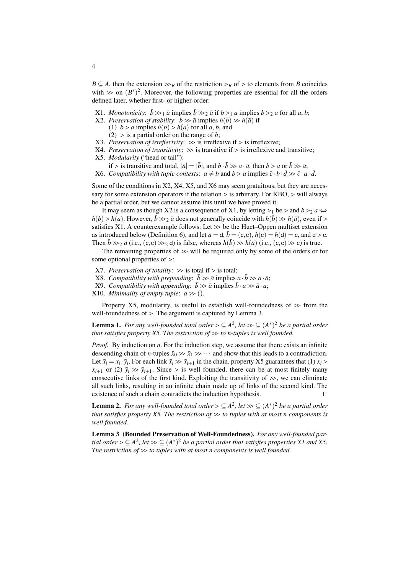*B*  $\subseteq$  *A*, then the extension  $\gg$ <sub>*B*</sub> of the restriction  $\gt$ <sub>*B*</sub> of  $>$  to elements from *B* coincides with  $\gg$  on  $(B^*)^2$ . Moreover, the following properties are essential for all the orders defined later whether first, or higher-order: defined later, whether first- or higher-order:

- <span id="page-3-4"></span>X1. *Monotonicity*:  $\bar{b} \gg_1 \bar{a}$  implies  $\bar{b} \gg_2 \bar{a}$  if  $b >_1 a$  implies  $b >_2 a$  for all  $a, b$ ;
- <span id="page-3-0"></span>X2. *Preservation of stability*:  $\bar{b} \gg \bar{a}$  implies  $h(\bar{b}) \gg h(\bar{a})$  if
	- (1)  $b > a$  implies  $h(b) > h(a)$  for all a, b, and
	- (2) > is a partial order on the range of *<sup>h</sup>*;
- <span id="page-3-10"></span>X3. *Preservation of irreflexivity*:  $\gg$  is irreflexive if  $>$  is irreflexive;
- <span id="page-3-2"></span><span id="page-3-1"></span>X4. *Preservation of transitivity*:  $\gg$  is transitive if  $>$  is irreflexive and transitive; X5. *Modularity* ("head or tail"):
	- if > is transitive and total,  $|\bar{a}| = |\bar{b}|$ , and  $b \cdot \bar{b} \gg a \cdot \bar{a}$ , then  $b > a$  or  $\bar{b} \gg \bar{a}$ ;
- <span id="page-3-3"></span>X6. *Compatibility with tuple contexts:*  $a \neq b$  and  $b > a$  implies  $\bar{c} \cdot b \cdot d \gg \bar{c} \cdot a \cdot d$ .

Some of the conditions in [X2,](#page-3-0) [X4,](#page-3-1) [X5,](#page-3-2) and [X6](#page-3-3) may seem gratuitous, but they are necessary for some extension operators if the relation > is arbitrary. For KBO, > will always be a partial order, but we cannot assume this until we have proved it.

It may seem as though [X2](#page-3-0) is a consequence of [X1,](#page-3-4) by letting  $>_1$  be  $>$  and  $b >_2 a \Leftrightarrow$  $h(b) > h(a)$ . However,  $\bar{b} \gg_2 \bar{a}$  does not generally coincide with  $h(\bar{b}) \gg h(\bar{a})$ , even if > satisfies [X1.](#page-3-4) A counterexample follows: Let  $\gg$  be the Huet–Oppen multiset extension as introduced below (Definition [6\)](#page-4-1), and let  $\bar{a} = d$ ,  $\bar{b} = (c, c)$ ,  $h(c) = h(d) = c$ , and  $d > c$ . Then  $\bar{b} \gg_{2} \bar{a}$  (i.e., (c, c)  $\gg_{2}$  d) is false, whereas  $h(\bar{b}) \gg h(\bar{a})$  (i.e., (c, c)  $\gg$  c) is true.

The remaining properties of  $\gg$  will be required only by some of the orders or for some optional properties of >:

- <span id="page-3-9"></span>X7. *Preservation of totality*:  $\gg$  is total if  $>$  is total;
- <span id="page-3-8"></span>X8. *Compatibility with prepending*:  $\bar{b} \gg \bar{a}$  implies  $a \cdot \bar{b} \gg a \cdot \bar{a}$ ;
- <span id="page-3-7"></span>X9. *Compatibility with appending*:  $\bar{b} \gg \bar{a}$  implies  $\bar{b} \cdot a \gg \bar{a} \cdot a$ ;
- <span id="page-3-11"></span>X10. *Minimality of empty tuple*:  $a \gg 0$ .

Property [X5,](#page-3-2) modularity, is useful to establish well-foundedness of  $\gg$  from the well-foundedness of >. The argument is captured by Lemma [3.](#page-3-5)

**Lemma 1.** For any well-founded total order  $\geq \subseteq A^2$ , let  $\gg \subseteq (A^*)^2$  be a partial order that satisfies property Y5. The restriction of  $\gg$  to n-tuples is well founded. *that satisfies property*  $X5$ *. The restriction of*  $\gg$  *to n-tuples is well founded.* 

*Proof.* By induction on *n*. For the induction step, we assume that there exists an infinite descending chain of *n*-tuples  $\bar{x}_0 \gg \bar{x}_1 \gg \cdots$  and show that this leads to a contradiction. Let  $\bar{x}_i = x_i \cdot \bar{y}_i$ . For each link  $\bar{x}_i \gg \bar{x}_{i+1}$  in the chain, property [X5](#page-3-2) guarantees that (1)  $x_i >$ <br> $x_{i+1}$  or (2)  $\bar{y}_i \gg \bar{y}_i$ . Since  $\bar{y}_i$  is well founded, there can be at most finitely many  $x_{i+1}$  or (2)  $\bar{y}_i \gg \bar{y}_{i+1}$ . Since > is well founded, there can be at most finitely many consecutive links of the first kind. Exploiting the transitivity of  $\gg$ , we can eliminate all such links, resulting in an infinite chain made up of links of the second kind. The existence of such a chain contradicts the induction hypothesis.

<span id="page-3-6"></span>**Lemma 2.** For any well-founded total order  $\geq \subseteq A^2$ , let  $\gg \subseteq (A^*)^2$  be a partial order<br>that satisfies property X5. The restriction of  $\gg$  to tuples with at most n components is *that satisfies property [X5.](#page-3-2) The restriction of* >> *to tuples with at most <sup>n</sup> components is well founded.*

<span id="page-3-5"></span>Lemma 3 (Bounded Preservation of Well-Foundedness). *For any well-founded partial order*  $> \subseteq A^2$ , *let*  $\gg \subseteq (A^*)^2$  *be a partial order that satisfies properties X1 and [X5.](#page-3-2)*<br>*The restriction of*  $\gg$  *to tuples with at most n components is well founded The restriction of*  $\gg$  *to tuples with at most n components is well founded.*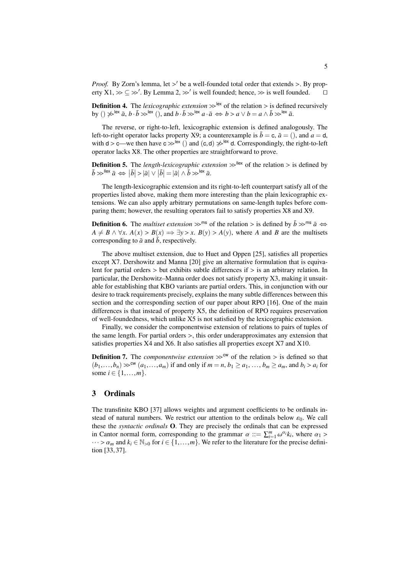*Proof.* By Zorn's lemma, let  $>$ ' be a well-founded total order that extends  $>$ . By property  $X1 \gg \text{C} \gg$ ' By Lemma 2  $\gg$ ' is well founded: hence  $\gg$  is well founded. erty  $X1 \gg \subseteq \gg'$ . By Lemma [2,](#page-3-6)  $\gg'$  is well founded; hence,  $\gg$  is well founded.  $\square$ 

**Definition 4.** The *lexicographic extension*  $\gg$ <sup>lex</sup> of the relation  $>$  is defined recursively by ()  $\gg$ <sup>lex</sup>  $\bar{a}$ ,  $\bar{b}$ ,  $\gg$ <sup>lex</sup> () and  $b, \bar{b}$ ,  $\gg$ <sup>lex</sup>  $a, \bar{a}$ ,  $\iff$   $b > a \lor b = a \land \bar{b}$ ,  $\gg$ <sup>lex</sup>  $\bar{a$ by ()  $\gg^{\text{lex}} \bar{a}$ ,  $b \cdot \bar{b} \gg^{\text{lex}}$  (), and  $b \cdot \bar{b} \gg^{\text{lex}} a \cdot \bar{a} \iff b > a \lor b = a \land \bar{b} \gg^{\text{lex}} \bar{a}$ .

The reverse, or right-to-left, lexicographic extension is defined analogously. The left-to-right operator lacks property [X9;](#page-3-7) a counterexample is  $\bar{b} = c$ ,  $\bar{a} = ($ , and  $a = d$ , with  $d > c$ —we then have  $c > |c \times c|$  and  $(c, d) \not\gg |c \times d$ . Correspondingly, the right-to-left<br>operator lacks X8. The other properties are straightforward to prove operator lacks [X8.](#page-3-8) The other properties are straightforward to prove.

**Definition 5.** The *length-lexicographic extension*  $\gg^{\text{flex}}$  of the relation  $>$  is defined by  $|\bar{b} \gg$ <sup>llex</sup>  $\bar{a} \Leftrightarrow |\bar{b}| > |\bar{a}| \vee |\bar{b}| = |\bar{a}| \wedge \bar{b} \gg$ <sup>lex</sup>  $\bar{a}$ .

The length-lexicographic extension and its right-to-left counterpart satisfy all of the properties listed above, making them more interesting than the plain lexicographic extensions. We can also apply arbitrary permutations on same-length tuples before comparing them; however, the resulting operators fail to satisfy properties [X8](#page-3-8) and [X9.](#page-3-7)

<span id="page-4-1"></span>**Definition 6.** The *multiset extension*  $\gg$ <sup>ms</sup> of the relation > is defined by  $\bar{b} \gg$ <sup>ms</sup>  $\bar{a} \Leftrightarrow$  $A \neq B \land \forall x$ .  $A(x) > B(x) \implies \exists y > x$ .  $B(y) > A(y)$ , where *A* and *B* are the multisets corresponding to  $\bar{a}$  and  $b$ , respectively.

The above multiset extension, due to Huet and Oppen [\[25\]](#page-17-15), satisfies all properties except [X7.](#page-3-9) Dershowitz and Manna [\[20\]](#page-17-16) give an alternative formulation that is equivalent for partial orders  $>$  but exhibits subtle differences if  $>$  is an arbitrary relation. In particular, the Dershowitz–Manna order does not satisfy property [X3,](#page-3-10) making it unsuitable for establishing that KBO variants are partial orders. This, in conjunction with our desire to track requirements precisely, explains the many subtle differences between this section and the corresponding section of our paper about RPO [\[16\]](#page-17-2). One of the main differences is that instead of property [X5,](#page-3-2) the definition of RPO requires preservation of well-foundedness, which unlike [X5](#page-3-2) is not satisfied by the lexicographic extension.

Finally, we consider the componentwise extension of relations to pairs of tuples of the same length. For partial orders >, this order underapproximates any extension that satisfies properties [X4](#page-3-1) and [X6.](#page-3-3) It also satisfies all properties except [X7](#page-3-9) and [X10.](#page-3-11)

**Definition 7.** The *componentwise extension*  $\gg^{\text{cw}}$  of the relation  $>$  is defined so that  $(b_1,...,b_n) \gg^{\text{cw}} (a_1,...,a_m)$  if and only if  $m = n, b_1 \ge a_1,...,b_m \ge a_m$ , and  $b_i > a_i$  for some  $i \in \{1, ..., m\}$ .

# <span id="page-4-0"></span>3 Ordinals

The transfinite KBO [\[37\]](#page-18-4) allows weights and argument coefficients to be ordinals instead of natural numbers. We restrict our attention to the ordinals below  $\varepsilon_0$ . We call these the *syntactic ordinals* O. They are precisely the ordinals that can be expressed in Cantor normal form, corresponding to the grammar  $\alpha ::= \sum_{i=1}^{m} \omega^{a_i} k_i$ , where  $\alpha_1 > \cdots > \alpha$  and  $k \in \mathbb{N}$  of for  $i \in \{1, \ldots, m\}$ . We refer to the literature for the precise defini*i*  $\alpha$  and  $k_i \in \mathbb{N}_{>0}$  for  $i \in \{1, \ldots, m\}$ . We refer to the literature for the precise definition [33, 37] tion [\[33,](#page-17-17) [37\]](#page-18-4).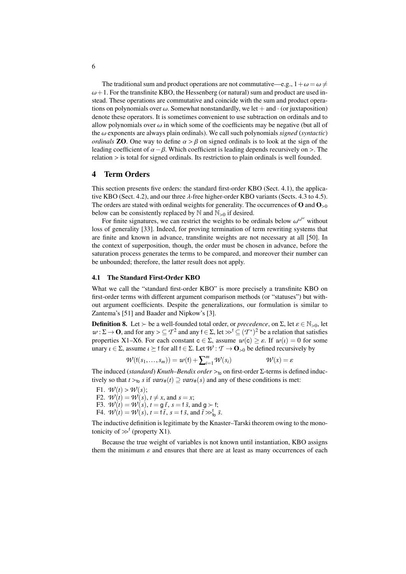The traditional sum and product operations are not commutative—e.g.,  $1 + \omega = \omega \neq$  $\omega+1$ . For the transfinite KBO, the Hessenberg (or natural) sum and product are used instead. These operations are commutative and coincide with the sum and product operations on polynomials over  $\omega$ . Somewhat nonstandardly, we let  $+$  and  $\cdot$  (or juxtaposition) denote these operators. It is sometimes convenient to use subtraction on ordinals and to allow polynomials over  $\omega$  in which some of the coefficients may be negative (but all of the ω exponents are always plain ordinals). We call such polynomials *signed* (*syntactic*) *ordinals* **ZO**. One way to define  $\alpha > \beta$  on signed ordinals is to look at the sign of the leading coefficient of  $\alpha - \beta$ . Which coefficient is leading depends recursively on >. The relation > is total for signed ordinals. Its restriction to plain ordinals is well founded.

# <span id="page-5-0"></span>4 Term Orders

This section presents five orders: the standard first-order KBO (Sect. [4.1\)](#page-5-1), the applica-tive KBO (Sect. [4.2\)](#page-6-1), and our three  $\lambda$ -free higher-order KBO variants (Sects. [4.3](#page-6-0) to [4.5\)](#page-9-0). The orders are stated with ordinal weights for generality. The occurrences of  $O$  and  $O_{>0}$ below can be consistently replaced by  $\mathbb N$  and  $\mathbb N_{>0}$  if desired.

For finite signatures, we can restrict the weights to be ordinals below  $\omega^{\omega^{\omega}}$  without of generality [33]. Indeed, for proving termination of term rewriting systems that loss of generality [\[33\]](#page-17-17). Indeed, for proving termination of term rewriting systems that are finite and known in advance, transfinite weights are not necessary at all [\[50\]](#page-18-8). In the context of superposition, though, the order must be chosen in advance, before the saturation process generates the terms to be compared, and moreover their number can be unbounded; therefore, the latter result does not apply.

## <span id="page-5-1"></span>4.1 The Standard First-Order KBO

What we call the "standard first-order KBO" is more precisely a transfinite KBO on first-order terms with different argument comparison methods (or "statuses") but without argument coefficients. Despite the generalizations, our formulation is similar to Zantema's [\[51\]](#page-18-7) and Baader and Nipkow's [\[3\]](#page-16-7).

**Definition 8.** Let  $\succ$  be a well-founded total order, or *precedence*, on  $\Sigma$ , let  $\varepsilon \in \mathbb{N}_{>0}$ , let  $w: \Sigma \to \mathbf{O}$ , and for any  $\geq \mathcal{I}^2$  and any  $f \in \Sigma$ , let  $\gg^f \subseteq (\mathcal{I}^*)^2$  be a relation that satisfies properties  $X1 - X6$ . For each constant  $c \in \Sigma$  assume  $\mathcal{I}u(c) \geq s$ . If  $\mathcal{I}u(c) = 0$  for some properties [X1](#page-3-4)[–X6.](#page-3-3) For each constant <sup>c</sup> <sup>∈</sup> <sup>Σ</sup>, assume *<sup>w</sup>*(c) <sup>≥</sup> ε. If *<sup>w</sup>*(ι) = 0 for some unary  $\iota \in \Sigma$ , assume  $\iota \succeq f$  for all  $f \in \Sigma$ . Let  $\mathcal{W}: \mathcal{T} \to \mathbf{O}_{>0}$  be defined recursively by

$$
\mathcal{W}(\mathfrak{f}(s_1,\ldots,s_m)) = \mathcal{W}(\mathfrak{f}) + \sum_{i=1}^m \mathcal{W}(s_i) \qquad \mathcal{W}(x) = \varepsilon
$$

The induced (*standard*) *Knuth–Bendix order*  $>_{6}$  on first-order  $\Sigma$ -terms is defined inductively so that  $t > c$ , s if ziggs  $e(t) \supset zigss(e)$  and any of these conditions is met: tively so that  $t >_{f_0} s$  if  $var_{\#}(t) \supseteq var_{\#}(s)$  and any of these conditions is met:

<span id="page-5-2"></span>F1.  $\mathcal{W}(t) > \mathcal{W}(s);$ F2.  $W(t) = W(s)$ ,  $t \neq x$ , and  $s = x$ ; F3.  $W(t) = W(s)$ ,  $t = g\bar{t}$ ,  $s = f\bar{s}$ , and  $g \succ f$ ; F4.  $W(t) = W(s)$ ,  $t = \overline{t}$ ,  $s = \overline{t}$ , and  $\overline{t} \gg_{\overline{t}}^{\overline{t}}$ ,  $\overline{s}$ .

The inductive definition is legitimate by the Knaster–Tarski theorem owing to the monotonicity of  $\gg^f$  (property [X1\)](#page-3-4).

Because the true weight of variables is not known until instantiation, KBO assigns them the minimum  $\varepsilon$  and ensures that there are at least as many occurrences of each

6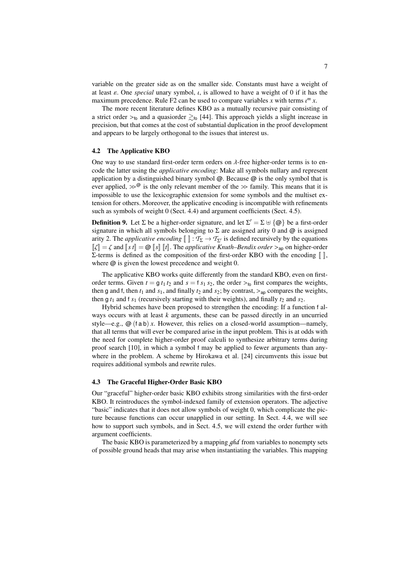variable on the greater side as on the smaller side. Constants must have a weight of at least  $\varepsilon$ . One *special* unary symbol,  $\iota$ , is allowed to have a weight of 0 if it has the maximum precedence. Rule [F2](#page-5-2) can be used to compare variables *x* with terms  $\iota^m x$ .<br>The more recent literature defines KBO as a mutually recursive pair consisting

The more recent literature defines KBO as a mutually recursive pair consisting of a strict order  $>_{6}$  and a quasiorder  $\gtrsim_{6}$  [\[44\]](#page-18-9). This approach yields a slight increase in precision, but that comes at the cost of substantial duplication in the proof development and appears to be largely orthogonal to the issues that interest us.

#### <span id="page-6-1"></span>4.2 The Applicative KBO

One way to use standard first-order term orders on  $\lambda$ -free higher-order terms is to encode the latter using the *applicative encoding*: Make all symbols nullary and represent application by a distinguished binary symbol  $\omega$ . Because  $\omega$  is the only symbol that is ever applied,  $\gg^{\mathcal{Q}}$  is the only relevant member of the  $\gg$  family. This means that it is impossible to use the lexicographic extension for some symbols and the multiset extension for others. Moreover, the applicative encoding is incompatible with refinements such as symbols of weight 0 (Sect. [4.4\)](#page-8-0) and argument coefficients (Sect. [4.5\)](#page-9-0).

**Definition 9.** Let  $\Sigma$  be a higher-order signature, and let  $\Sigma' = \Sigma \cup \{\omega\}$  be a first-order signature in which all symbols belonging to  $\Sigma$  are assigned arity 0 and  $\omega$  is assigned arity 2. The *applicative encoding*  $\llbracket \cdot \rrbracket : \mathcal{T}_{\Sigma} \to \mathcal{T}_{\Sigma'}$  is defined recursively by the equations  $\llbracket \zeta \rrbracket = \zeta$  and  $\llbracket s \rrbracket = \mathcal{Q} \llbracket s \rrbracket$   $\llbracket t \rrbracket$ . The *applicative Knuth–Bendix order* ><sub>ap</sub> on higher-order Σ-terms is defined as the composition of the first-order KBO with the encoding  $\llbracket \ \rrbracket$ , where  $\omega$  is given the lowest precedence and weight 0.

The applicative KBO works quite differently from the standard KBO, even on firstorder terms. Given  $t = g t_1 t_2$  and  $s = f s_1 s_2$ , the order  $\geq t_0$  first compares the weights, then g and f, then  $t_1$  and  $s_1$ , and finally  $t_2$  and  $s_2$ ; by contrast,  $>_{ap}$  compares the weights, then g  $t_1$  and f  $s_1$  (recursively starting with their weights), and finally  $t_2$  and  $s_2$ .

Hybrid schemes have been proposed to strengthen the encoding: If a function f always occurs with at least *k* arguments, these can be passed directly in an uncurried style—e.g.,  $\omega$  (f a b) *x*. However, this relies on a closed-world assumption—namely, that all terms that will ever be compared arise in the input problem. This is at odds with the need for complete higher-order proof calculi to synthesize arbitrary terms during proof search [\[10\]](#page-16-4), in which a symbol f may be applied to fewer arguments than anywhere in the problem. A scheme by Hirokawa et al. [\[24\]](#page-17-12) circumvents this issue but requires additional symbols and rewrite rules.

#### <span id="page-6-0"></span>4.3 The Graceful Higher-Order Basic KBO

Our "graceful" higher-order basic KBO exhibits strong similarities with the first-order KBO. It reintroduces the symbol-indexed family of extension operators. The adjective "basic" indicates that it does not allow symbols of weight 0, which complicate the picture because functions can occur unapplied in our setting. In Sect. [4.4,](#page-8-0) we will see how to support such symbols, and in Sect. [4.5,](#page-9-0) we will extend the order further with argument coefficients.

The basic KBO is parameterized by a mapping *ghd* from variables to nonempty sets of possible ground heads that may arise when instantiating the variables. This mapping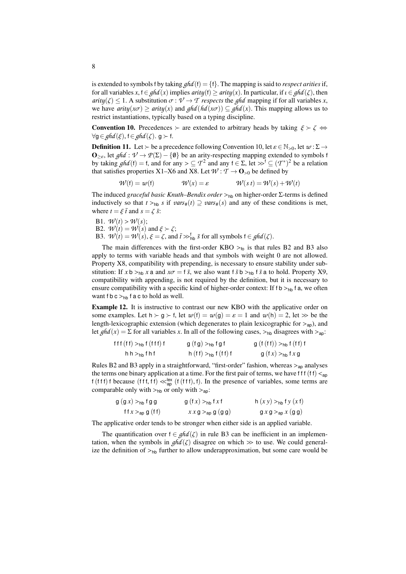is extended to symbols f by taking  $ghd(f) = \{f\}$ . The mapping is said to *respect arities* if, for all variables  $x, f \in ghd(x)$  implies  $arity(f) \geq arity(x)$ . In particular, if  $\iota \in ghd(\zeta)$ , then *arity*( $\zeta$ )  $\leq$  1. A substitution  $\sigma$  :  $\mathcal{V} \rightarrow \mathcal{T}$  *respects* the *ghd* mapping if for all variables *x*, we have *arity*( $x\sigma$ )  $\geq$  *arity*( $x$ ) and  $ghd(hd(x\sigma)) \subseteq ghd(x)$ . This mapping allows us to restrict instantiations, typically based on a typing discipline.

<span id="page-7-0"></span>**Convention 10.** Precedences  $\succ$  are extended to arbitrary heads by taking  $\xi \succ \zeta \Leftrightarrow$  $\forall$ g ∈ *ghd* (ξ), f ∈ *ghd* (ζ). g ≻ f.

**Definition 11.** Let  $\succ$  be a precedence following Convention [10,](#page-7-0) let  $\varepsilon \in \mathbb{N}_{>0}$ , let  $w : \Sigma \to$  $\mathbf{O}_{\geq \varepsilon}$ , let *ghd* :  $\mathcal{V} \to \mathcal{P}(\Sigma) - \{\emptyset\}$  be an arity-respecting mapping extended to symbols f by taking *ghd*(f) = f, and for any > ⊆ *T*<sup>2</sup> and any f ∈ Σ, let  $\gg$ <sup>f</sup> ⊆  $(T^*)^2$  be a relation that satisfies properties X1–X6 and X8. I et  $W: T \to \Omega$ , a be defined by that satisfies properties [X1–](#page-3-4)[X6](#page-3-3) and [X8.](#page-3-8) Let  $W: \mathcal{T} \to \mathbf{O}_{>0}$  be defined by

$$
\mathcal{W}(\mathbf{f}) = \mathcal{W}(\mathbf{f}) \qquad \qquad \mathcal{W}(x) = \varepsilon \qquad \qquad \mathcal{W}(s\,t) = \mathcal{W}(s) + \mathcal{W}(t)
$$

The induced *graceful basic Knuth–Bendix order* ><sub>hb</sub> on higher-order Σ-terms is defined inductively so that  $t >_{hh} s$  if  $vars_{#}(t) \supset \textit{vars}_{#}(s)$  and any of these conditions is met, where  $t = \xi \bar{t}$  and  $s = \zeta \bar{s}$ .

- B1.  $\mathcal{W}(t) > \mathcal{W}(s)$ ;
- <span id="page-7-1"></span>**B2.**  $W(t) = W(s)$  and  $\xi \succ \zeta$ ;
- <span id="page-7-2"></span>B3.  $\mathcal{W}(t) = \mathcal{W}(s)$ ,  $\xi = \zeta$ , and  $\bar{t} \gg_{\text{th}}^t \bar{s}$  for all symbols  $f \in \text{ghd}(\zeta)$ .

The main differences with the first-order KBO  $>_{60}$  is that rules [B2](#page-7-1) and [B3](#page-7-2) also apply to terms with variable heads and that symbols with weight 0 are not allowed. Property [X8,](#page-3-8) compatibility with prepending, is necessary to ensure stability under substitution: If  $x$  b ><sub>hb</sub>  $x$  a and  $x\sigma = f\bar{s}$ , we also want  $f\bar{s}$  b ><sub>hb</sub>  $f\bar{s}$  a to hold. Property [X9,](#page-3-7) compatibility with appending, is not required by the definition, but it is necessary to ensure compatibility with a specific kind of higher-order context: If f b  $>_{hb}$  f a, we often want f b  $c >_{hh}$  f a c to hold as well.

Example 12. It is instructive to contrast our new KBO with the applicative order on some examples. Let  $h > g > f$ , let  $w(f) = w(g) = \varepsilon = 1$  and  $w(h) = 2$ , let  $\gg$  be the length-lexicographic extension (which degenerates to plain lexicographic for  $>_{\text{ao}}$ ), and let  $ghd(x) = \sum$  for all variables *x*. In all of the following cases,  $>_{hb}$  disagrees with  $>_{ap}$ :

$$
f\{f\}(f\}) >_{hb} f\{(ff)\} f \qquad \qquad g\{(fg) >_{hb} fg\} f \qquad \qquad g\{(f(f)) >_{hb} f\{(f)\} f\}
$$
\n
$$
h\{h \} >_{hb} f\{h\} f \qquad \qquad h\{(f)\} >_{hb} f\{(f)\} f \qquad \qquad g\{(fx) >_{hb} f x g
$$

Rules [B2](#page-7-1) and [B3](#page-7-2) apply in a straightforward, "first-order" fashion, whereas  $>_{ap}$  analyses the terms one binary application at a time. For the first pair of terms, we have f f f (f f)  $\lt_{ap}$ f (f f f) f because (f f f, f f)  $\ll_{\text{ap}}^{\text{lex}}$  (f (f f f), f). In the presence of variables, some terms are comparable only with  $>$ comparable only with  $>_{hb}$  or only with  $>_{ap}$ :

$$
g(g x) >_{hb} f g g
$$
  
\n
$$
g(f x) >_{hb} f x f
$$
  
\n
$$
h (x y) >_{hb} f y (x f)
$$
  
\n
$$
f f x >_{ap} g (f f)
$$
  
\n
$$
x x g >_{ap} g (g g)
$$
  
\n
$$
g x g >_{ap} x (g g)
$$

The applicative order tends to be stronger when either side is an applied variable.

The quantification over  $f \in ghd(\zeta)$  in rule [B3](#page-7-2) can be inefficient in an implementation, when the symbols in  $ghd(\zeta)$  disagree on which  $\gg$  to use. We could generalize the definition of  $>_{hb}$  further to allow underapproximation, but some care would be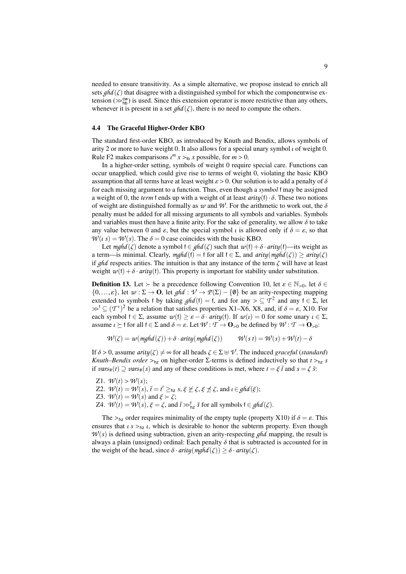needed to ensure transitivity. As a simple alternative, we propose instead to enrich all sets  $ghd(\zeta)$  that disagree with a distinguished symbol for which the componentwise extension ( $\gg_{h}^{CW}$ ) is used. Since this extension operator is more restrictive than any others,<br>whenever it is present in a set  $abd(\zeta)$  there is no need to compute the others whenever it is present in a set  $ghd(\zeta)$ , there is no need to compute the others.

#### <span id="page-8-0"></span>4.4 The Graceful Higher-Order KBO

The standard first-order KBO, as introduced by Knuth and Bendix, allows symbols of arity 2 or more to have weight 0. It also allows for a special unary symbol  $\iota$  of weight 0. Rule [F2](#page-5-2) makes comparisons  $\iota^m x >_{\text{fo}} x$  possible, for  $m > 0$ .<br>In a higher-order setting, symbols of weight 0 require

In a higher-order setting, symbols of weight 0 require special care. Functions can occur unapplied, which could give rise to terms of weight 0, violating the basic KBO assumption that all terms have at least weight  $\varepsilon > 0$ . Our solution is to add a penalty of  $\delta$ for each missing argument to a function. Thus, even though a *symbol* f may be assigned a weight of 0, the *term* <sup>f</sup> ends up with a weight of at least *arity*(f)· δ. These two notions of weight are distinguished formally as  $w$  and W. For the arithmetic to work out, the  $\delta$ penalty must be added for all missing arguments to all symbols and variables. Symbols and variables must then have a finite arity. For the sake of generality, we allow  $\delta$  to take any value between 0 and  $\varepsilon$ , but the special symbol  $\iota$  is allowed only if  $\delta = \varepsilon$ , so that  $W(t, s) = W(s)$ . The  $\delta = 0$  case coincides with the basic KBO.

Let  $mghd(\zeta)$  denote a symbol  $f \in ghd(\zeta)$  such that  $w(f) + \delta \cdot \text{arity}(f)$ —its weight as a term—is minimal. Clearly,  $mghd(f) = f$  for all  $f \in \Sigma$ , and  $arity(mghd(\zeta)) \geq arity(\zeta)$ if *ghd* respects arities. The intuition is that any instance of the term  $\zeta$  will have at least weight  $w(f) + \delta \cdot \text{arity}(f)$ . This property is important for stability under substitution.

**Definition 13.** Let  $\succ$  be a precedence following Convention [10,](#page-7-0) let  $\varepsilon \in \mathbb{N}_{>0}$ , let  $\delta \in$  $\{0,\ldots,\varepsilon\}$ , let  $\omega : \Sigma \to \mathbf{O}$ , let *ghd* :  $\mathcal{V} \to \mathcal{P}(\Sigma) - \{\emptyset\}$  be an arity-respecting mapping extended to symbols f by taking  $ghd(f) = f$ , and for any  $\geq \frac{T^2}{2}$  and any  $f \in \Sigma$ , let  $\gg^f \subset (T^*)^2$  be a relation that satisfies properties X1–X6, X8, and if  $\delta = \varepsilon$ , X10. For  $\gg^f$  ⊆  $(T^*)^2$  be a relation that satisfies properties [X1–](#page-3-4)[X6,](#page-3-3) [X8,](#page-3-8) and, if  $\delta = \varepsilon$ , [X10.](#page-3-11) For each symbol  $f \in \Sigma$  assume  $\mathcal{U}(f) \geq \varepsilon - \delta$ ,  $\text{crit}(f)$ . If  $\mathcal{U}(t) = 0$  for some unary  $t \in \Sigma$ each symbol  $f \in \Sigma$ , assume  $w(f) \ge \varepsilon - \delta \cdot \text{arity}(f)$ . If  $w(\iota) = 0$  for some unary  $\iota \in \Sigma$ , assume  $\iota \succeq f$  for all  $f \in \Sigma$  and  $\delta = \varepsilon$ . Let  $W : \mathcal{T} \to \mathbf{O}_{>0}$  be defined by  $W : \mathcal{T} \to \mathbf{O}_{>0}$ :

$$
\mathcal{W}(\zeta) = w(mghd(\zeta)) + \delta \cdot \text{arity}(mghd(\zeta)) \qquad \mathcal{W}(s\,t) = \mathcal{W}(s) + \mathcal{W}(t) - \delta
$$

If  $\delta > 0$ , assume *arity*( $\zeta$ )  $\neq \infty$  for all heads  $\zeta \in \Sigma \oplus \mathcal{V}$ . The induced *graceful* (*standard*) *Knuth–Bendix order* ><sub>hz</sub> on higher-order  $\Sigma$ -terms is defined inductively so that  $t >_{hz} s$ if *vars*# $(t) \supseteq$  *vars*# $(s)$  and any of these conditions is met, where  $t = \xi \bar{t}$  and  $s = \zeta \bar{s}$ .

<span id="page-8-2"></span><span id="page-8-1"></span>Z1.  $\mathcal{W}(t) > \mathcal{W}(s)$ ; Z2.  $\mathcal{W}(t) = \mathcal{W}(s)$ ,  $\bar{t} = t' \geq_{hz} s, \xi \not\subseteq \zeta, \xi \not\preceq \zeta$ , and  $\iota \in \mathcal{ghd}(\xi)$ ;<br>  $Z_3 = \mathcal{W}(t) - \mathcal{W}(s)$  and  $\xi \succ \zeta$ . Z3.  $\mathcal{W}(t) = \mathcal{W}(s)$  and  $\xi \succ \zeta$ ; Z4.  $W(t) = W(s), \xi = \zeta$ , and  $\bar{t} \gg_{\text{hz}}^{\text{f}} \bar{s}$  for all symbols  $f \in \text{ghd}(\zeta)$ .

The  $>_{hz}$  order requires minimality of the empty tuple (property [X10\)](#page-3-11) if  $\delta = \varepsilon$ . This ensures that  $\iota s >_{nz} \iota$ , which is desirable to honor the subterm property. Even though  $W(s)$  is defined using subtraction, given an arity-respecting  $ghd$  mapping, the result is always a plain (unsigned) ordinal: Each penalty  $\delta$  that is subtracted is accounted for in the weight of the head, since  $\delta \cdot \text{arity}(\text{mghd}(\zeta)) \geq \delta \cdot \text{arity}(\zeta)$ .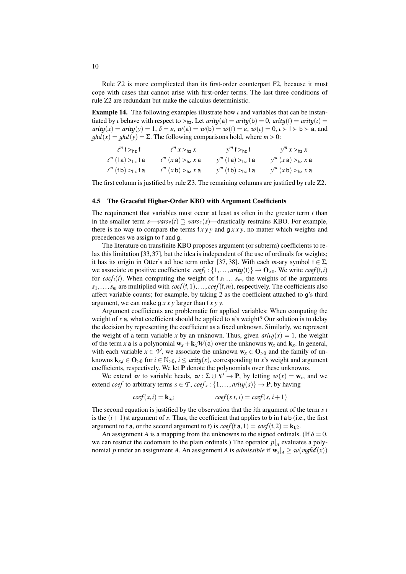Rule [Z2](#page-8-1) is more complicated than its first-order counterpart [F2,](#page-5-2) because it must cope with cases that cannot arise with first-order terms. The last three conditions of rule [Z2](#page-8-1) are redundant but make the calculus deterministic.

**Example 14.** The following examples illustrate how  $\iota$  and variables that can be instantiated by *ι* behave with respect to  $>_{hz}$ . Let *arity*(a) = *arity*(b) = 0, *arity*(f) = *arity*(*i*) =  $arity(x) = arity(y) = 1, \delta = \varepsilon, w(a) = w(b) = w(f) = \varepsilon, w(t) = 0, t \succ f \succ b \succ a$ , and  $ghd(x) = ghd(y) = \Sigma$ . The following comparisons hold, where  $m > 0$ :

| $\iota^m$ f $>_{\text{hz}}$ f    | $\iota^m x >_{\text{hz}} x$                          | $y^m$ f $>_{\text{hz}}$ f | $y^m x >_{\text{hz}} x$ |
|----------------------------------|------------------------------------------------------|---------------------------|-------------------------|
| $\iota^m$ (f a) $>_{\sf hz}$ f a | $\iota^m(x a) >_{hz} x a$                            | $y^m$ (f a) $>_{hz}$ f a  | $y^m(x a) >_{hz} x a$   |
| $\iota^m$ (f b) $>_{\sf hz}$ f a | $\iota^{m}(x\mathsf{b}) >_{\mathsf{hz}} x\mathsf{a}$ | $y^m$ (f b) $>_{hz}$ f a  | $y^m(x b) >_{hz} x a$   |

The first column is justified by rule [Z3.](#page-8-2) The remaining columns are justified by rule [Z2.](#page-8-1)

#### <span id="page-9-0"></span>4.5 The Graceful Higher-Order KBO with Argument Coefficients

The requirement that variables must occur at least as often in the greater term *t* than in the smaller term  $s \rightarrow \text{vars}_{\#}(t) \supset \text{vars}_{\#}(s)$  —drastically restrains KBO. For example, there is no way to compare the terms  $f x y y$  and  $g x x y$ , no matter which weights and precedences we assign to f and g.

The literature on transfinite KBO proposes argument (or subterm) coefficients to relax this limitation [\[33,](#page-17-17)[37\]](#page-18-4), but the idea is independent of the use of ordinals for weights; it has its origin in Otter's ad hoc term order [\[37,](#page-18-4) [38\]](#page-18-10). With each *m*-ary symbol  $f \in \Sigma$ , we associate *m* positive coefficients:  $\text{coeff} : \{1, ..., \text{arity}(f)\} \rightarrow \mathbf{O}_{>0}$ . We write  $\text{coeff}(f, i)$ <br>for  $\text{coeff}(i)$ . When computing the weight of  $f, g$ , such as weights of the arguments for  $\text{coef}_f(i)$ . When computing the weight of  $f s_1 \ldots s_m$ , the weights of the arguments  $s_1, \ldots, s_m$  are multiplied with  $\text{coeff}(f,1), \ldots, \text{coeff}(f,m)$ , respectively. The coefficients also affect variable counts; for example, by taking 2 as the coefficient attached to g's third argument, we can make g *x x y* larger than f *x y y*.

Argument coefficients are problematic for applied variables: When computing the weight of *x* a, what coefficient should be applied to a's weight? Our solution is to delay the decision by representing the coefficient as a fixed unknown. Similarly, we represent the weight of a term variable *x* by an unknown. Thus, given  $arity(x) = 1$ , the weight of the term *x* a is a polynomial  $w_x + k_x \mathcal{W}(a)$  over the unknowns  $w_x$  and  $k_x$ . In general, with each variable  $x \in V$ , we associate the unknown  $w_x \in O_{>0}$  and the family of unknowns  $\mathbf{k}_{x,i} \in \mathbf{O}_{>0}$  for  $i \in \mathbb{N}_{>0}$ ,  $i \leq$  *arity*(*x*), corresponding to *x*'s weight and argument coefficients, respectively. We let P denote the polynomials over these unknowns.

We extend *w* to variable heads,  $w : \Sigma \oplus \mathcal{V} \to \mathbf{P}$ , by letting  $w(x) = \mathbf{w}_x$ , and we extend *coef* to arbitrary terms  $s \in \mathcal{T}$ ,  $\text{coeff}_s : \{1, ..., \text{arity}(s)\} \to \mathbf{P}$ , by having

$$
coeff(x,i) = \mathbf{k}_{x,i} \qquad \qquad coeff(s\ t,i) = coeff(s,i+1)
$$

The second equation is justified by the observation that the *i*th argument of the term *s t* is the  $(i+1)$ st argument of *s*. Thus, the coefficient that applies to b in f a b (i.e., the first argument to f a, or the second argument to f) is  $\text{coef}(\text{fa}, 1) = \text{coef}(\text{f}, 2) = \mathbf{k}_{f,2}$ .

An assignment *A* is a mapping from the unknowns to the signed ordinals. (If  $\delta = 0$ , we can restrict the codomain to the plain ordinals.) The operator  $p|_A$  evaluates a polynomial *p* under an assignment *A*. An assignment *A* is *admissible* if  $\mathbf{w}_x|_A \geq w \left(\frac{mghd}{x}\right)$ 

10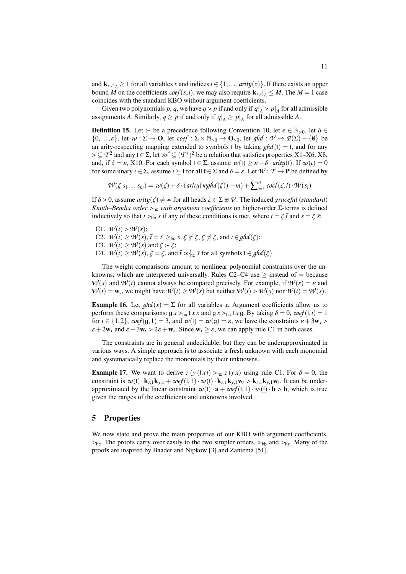and  $\mathbf{k}_{x,i}|_A \geq 1$  for all variables *x* and indices  $i \in \{1, ..., \text{arity}(x)\}$ . If there exists an upper<br>bound M on the coefficients *coef* (*s i*) we may also require  $\mathbf{k} \leq |A| \leq M$ . The  $M - 1$  case bound *M* on the coefficients *coef*(*s*,*i*), we may also require  $\mathbf{k}_{x,i}|_A \leq M$ . The  $M = 1$  case coincides with the standard KBO without argument coefficients coincides with the standard KBO without argument coefficients.

Given two polynomials *p*, *q*, we have *q* > *p* if and only if  $q|_A > p|_A$  for all admissible<br>gaments 4. Similarly, *q* > *n* if and only if *q*| > *n*|, for all admissible 4. assignments *A*. Similarly,  $q \ge p$  if and only if  $q|_A \ge p|_A$  for all admissible *A*.

**Definition 15.** Let  $\succ$  be a precedence following Convention [10,](#page-7-0) let  $\varepsilon \in \mathbb{N}_{>0}$ , let  $\delta \in$  $\{0,\ldots,\varepsilon\}$ , let  $\omega : \Sigma \to \mathbf{O}$ , let  $\text{coeff} : \Sigma \times \mathbb{N}_{>0} \to \mathbf{O}_{>0}$ , let  $\text{ghd} : \mathcal{V} \to \mathcal{P}(\Sigma) - \{\emptyset\}$  be an arity-respecting mapping extended to symbols f by taking  $ghd(f) = f$ , and for any > ⊆ *T*<sup>2</sup> and any  $f \in \Sigma$ , let  $\gg^f \subseteq (T^*)^2$  be a relation that satisfies properties [X1–](#page-3-4)[X6,](#page-3-3) [X8,](#page-3-8)<br>and if  $\delta = \varepsilon$ , X10. For each symbol  $f \in \Sigma$  assume  $\sigma u(f) > \varepsilon = \delta$ ,  $\sigma r(t)$  if  $\sigma u(x) = 0$ and, if  $\delta = \varepsilon$ , [X10.](#page-3-11) For each symbol  $f \in \Sigma$ , assume  $w(f) \geq \varepsilon - \delta \cdot \frac{arity(f)}{f}$ . If  $w(t) = 0$ for some unary  $\iota \in \Sigma$ , assume  $\iota \succ f$  for all  $f \in \Sigma$  and  $\delta = \varepsilon$ . Let  $\mathcal{W} : \mathcal{T} \to \mathbf{P}$  be defined by

 $W(\zeta s_1 ... s_m) = w(\zeta) + \delta \cdot (arity(mghd(\zeta)) - m) + \sum_{i=1}^m$  $\sum_{i=1}^{m} \text{coef}(\zeta, i) \cdot \mathcal{W}(s_i)$ 

If  $\delta > 0$ , assume *arity*( $\zeta$ )  $\neq \infty$  for all heads  $\zeta \in \Sigma \oplus \mathcal{V}$ . The induced *graceful* (*standard*) *Knuth–Bendix order* <sup>&</sup>gt;hc *with argument coefficients* on higher-order <sup>Σ</sup>-terms is defined inductively so that  $t >_{hc} s$  if any of these conditions is met, where  $t = \xi \bar{t}$  and  $s = \zeta \bar{s}$ .

<span id="page-10-4"></span><span id="page-10-3"></span><span id="page-10-1"></span>C1.  $W(t) > W(s)$ ; C2.  $W(t) \ge W(s)$ ,  $\bar{t} = t' \ge \ln s$ ,  $\xi \not\ge \zeta$ ,  $\xi \not\preceq \zeta$ , and  $\iota \in \mathcal{g}hd(\xi)$ ;<br>C3.  $W(t) > W(s)$  and  $\xi \succ \zeta$ ; C3.  $\mathcal{W}(t) \geq \mathcal{W}(s)$  and  $\xi \succ \zeta$ ; C4.  $W(t) \ge W(s)$ ,  $\xi = \zeta$ , and  $\bar{t} \gg_{\text{hc}}^t \bar{s}$  for all symbols  $f \in \text{ghd}(\zeta)$ .

<span id="page-10-2"></span>The weight comparisons amount to nonlinear polynomial constraints over the unknowns, which are interpreted universally. Rules  $C2-C4$  use  $\geq$  instead of  $=$  because  $W(s)$  and  $W(t)$  cannot always be compared precisely. For example, if  $W(s) = \varepsilon$  and  $W(t) = \mathbf{w}_y$ , we might have  $W(t) \geq W(s)$  but neither  $W(t) > W(s)$  nor  $W(t) = W(s)$ .

**Example 16.** Let  $ghd(x) = \sum$  for all variables *x*. Argument coefficients allow us to perform these comparisons:  $g x >_{hc} f x x$  and  $g x >_{hc} f x g$ . By taking  $\delta = 0$ ,  $\cos f(t, i) = 1$ for  $i \in \{1,2\}$ ,  $\text{coeff}(g,1) = 3$ , and  $w(f) = w(g) = \varepsilon$ , we have the constraints  $\varepsilon + 3w_x >$  $\varepsilon + 2w_x$  and  $\varepsilon + 3w_x > 2\varepsilon + w_x$ . Since  $w_x > \varepsilon$ , we can apply rule [C1](#page-10-3) in both cases.

The constraints are in general undecidable, but they can be underapproximated in various ways. A simple approach is to associate a fresh unknown with each monomial and systematically replace the monomials by their unknowns.

**Example 17.** We want to derive  $z(y(tx)) >_{hc} z(yx)$  using rule [C1.](#page-10-3) For  $\delta = 0$ , the constraint is  $w(f) \cdot k_{z,1}k_{y,1} + \cos(f(t,1) \cdot w(f) \cdot k_{z,1}k_{y,1}w_z > k_{z,1}k_{y,1}w_z$ . It can be under-<br>approximated by the linear constraint  $w(f) \cdot a + \cos(f(t,1) \cdot w(f) \cdot b > b$ , which is true approximated by the linear constraint  $w(f) \cdot a + \cos f(f, 1) \cdot w(f) \cdot b > b$ , which is true given the ranges of the coefficients and unknowns involved.

# <span id="page-10-0"></span>5 Properties

We now state and prove the main properties of our KBO with argument coefficients,  $>_{hc}$ . The proofs carry over easily to the two simpler orders,  $>_{hb}$  and  $>_{hz}$ . Many of the proofs are inspired by Baader and Nipkow [\[3\]](#page-16-7) and Zantema [\[51\]](#page-18-7).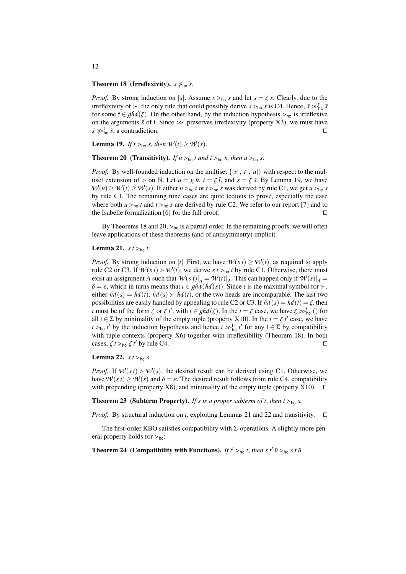## <span id="page-11-1"></span>**Theorem 18 (Irreflexivity).**  $s \nsim_{hc} s$ .

*Proof.* By strong induction on |s|. Assume  $s >_{hc} s$  and let  $s = \zeta \bar{s}$ . Clearly, due to the irreflexivity of  $\succ$ , the only rule that could possibly derive  $s \succ_{hc} s$  is [C4.](#page-10-2) Hence,  $\bar{s} \gg_{hc}^{\dagger} \bar{s}$ <br>for some  $f \in gh(d/\zeta)$ . On the other hand, by the induction hypothesis  $\searrow_{c}$ , is irreflexive for some  $f \in ghd(\zeta)$ . On the other hand, by the induction hypothesis ><sub>hc</sub> is irreflexive on the arguments  $\bar{s}$  of f. Since  $\gg^{\dagger}$  preserves irreflexivity (property [X3\)](#page-3-10), we must have  $\bar{s} \not\gg^{\dagger}$ .  $\bar{s}$ , a contradiction.  $\bar{s} \gg_{\text{hc}}^{\text{f}} \bar{s}$ , a contradiction. u

<span id="page-11-0"></span>**Lemma 19.** *If*  $t >_{hc} s$ , *then*  $W(t) \geq W(s)$ .

<span id="page-11-2"></span>**Theorem 20** (Transitivity). *If*  $u >_{\text{hc}} t$  *and*  $t >_{\text{hc}} s$ , *then*  $u >_{\text{hc}} s$ .

*Proof.* By well-founded induction on the multiset  $\{|s|, |t|, |u|\}$  with respect to the multiset extension of  $>$  on N. Let  $u = \chi \bar{u}$ ,  $t = \xi \bar{t}$ , and  $s = \zeta \bar{s}$ . By Lemma [19,](#page-11-0) we have  $W(u) \ge W(t) \ge W(s)$ . If either  $u >_{\text{hc}} t$  or  $t >_{\text{hc}} s$  was derived by rule [C1,](#page-10-3) we get  $u >_{\text{hc}} s$ by rule [C1.](#page-10-3) The remaining nine cases are quite tedious to prove, especially the case where both *u* ><sub>hc</sub> *t* and *t* ><sub>hc</sub> *s* are derived by rule [C2.](#page-10-1) We refer to our report [\[7\]](#page-16-5) and to the Isabelle formalization [6] for the full proof. the Isabelle formalization  $[6]$  for the full proof.

By Theorems [18](#page-11-1) and [20,](#page-11-2)  $>_{hc}$  is a partial order. In the remaining proofs, we will often leave applications of these theorems (and of antisymmetry) implicit.

#### <span id="page-11-3"></span>**Lemma 21.** *s*  $t >_{hc} t$ .

*Proof.* By strong induction on |t|. First, we have  $\mathcal{W}(s t) \geq \mathcal{W}(t)$ , as required to apply rule [C2](#page-10-1) or [C3.](#page-10-4) If  $W(st) > W(t)$ , we derive  $st >_{hc} t$  by rule [C1.](#page-10-3) Otherwise, there must exist an assignment *A* such that  $\mathcal{W}(s|t)|_A = \mathcal{W}(t)|_A$ . This can happen only if  $\mathcal{W}(s)|_A =$  $\delta = \varepsilon$ , which in turns means that  $\iota \in \mathcal{ghd}(\hat{hd}(s))$ . Since  $\iota$  is the maximal symbol for  $\succ$ , either  $hd(s) = hd(t)$ ,  $hd(s) > hd(t)$ , or the two heads are incomparable. The last two possibilities are easily handled by appealing to rule [C2](#page-10-1) or [C3.](#page-10-4) If  $hd(s) = hd(t) = \zeta$ , then *t* must be of the form  $\zeta$  or  $\zeta t'$ , with  $\iota \in \mathfrak{ghd}(\zeta)$ . In the  $t = \zeta$  case, we have  $\zeta \gg_{\text{hc}}^{\text{f}}(\zeta)$  for all  $t \in \Sigma$  by minimality of the empty tuple (property X10). In the  $t = \zeta t'$  case, we have all  $f \in \Sigma$  by minimality of the empty tuple (property [X10\)](#page-3-11). In the  $t = \zeta t'$  case, we have  $t \searrow t'$  by the induction hypothesis and hence  $t \searrow t'$  for any  $t \in \Sigma$  by compatibility *t* >hc *t'* by the induction hypothesis and hence  $t \gg_{\text{hc}}^t t'$  for any  $f \in \Sigma$  by compatibility with tuple contexts (property X6) together with irreflexibility (Theorem 18). In both with tuple contexts (property [X6\)](#page-3-3) together with irreflexibility (Theorem [18\)](#page-11-1). In both cases,  $\zeta t >_{hc} \zeta t'$  by rule [C4.](#page-10-2)

<span id="page-11-4"></span>**Lemma 22.** *s*  $t >_{hc} s$ .

*Proof.* If  $W(st) > W(s)$ , the desired result can be derived using [C1.](#page-10-3) Otherwise, we have  $W(s t) \geq W(s)$  and  $\delta = \varepsilon$ . The desired result follows from rule [C4,](#page-10-2) compatibility with prepending (property [X8\)](#page-3-8), and minimality of the empty tuple (property [X10\)](#page-3-11).  $\square$ 

**Theorem 23** (Subterm Property). If *s* is a proper subterm of *t*, then  $t >_{hc} s$ .

*Proof.* By structural induction on *t*, exploiting Lemmas [21](#page-11-3) and [22](#page-11-4) and transitivity.  $\square$ 

The first-order KBO satisfies compatibility with  $\Sigma$ -operations. A slightly more general property holds for  $>_{hc}$ :

**Theorem 24** (Compatibility with Functions). *If*  $t' >_{hc} t$ , *then s*  $t'$  *u*̃ $>_{hc} s t$  *u*̃.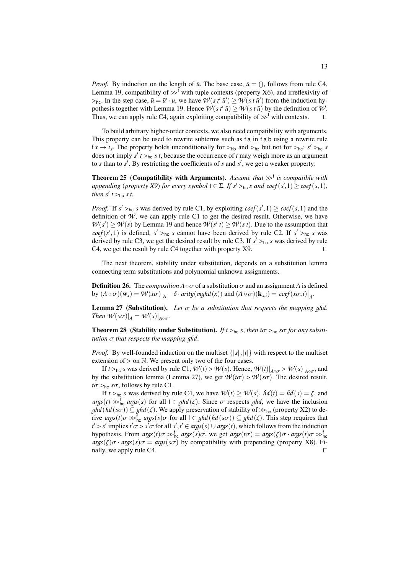*Proof.* By induction on the length of  $\bar{u}$ . The base case,  $\bar{u} = ()$ , follows from rule [C4,](#page-10-2) Lemma [19,](#page-11-0) compatibility of  $\gg^f$  with tuple contexts (property [X6\)](#page-3-3), and irreflexivity of  $>$ <sub>hc</sub>. In the step case,  $\bar{u} = \bar{u}' \cdot u$ , we have  $\mathcal{W}(s t' \bar{u}') \geq \mathcal{W}(s t \bar{u}')$  from the induction hy-<br>pothesis together with Lemma 19. Hence  $\mathcal{W}(s t' \bar{u}) > \mathcal{W}(s t \bar{u})$  by the definition of  $\mathcal{W}$ pothesis together with Lemma [19.](#page-11-0) Hence  $\mathcal{W}(s t^{\dagger} \bar{u}) > \mathcal{W}(s t \bar{u})$  by the definition of  $\mathcal{W}$ . Thus, we can apply rule [C4,](#page-10-2) again exploiting compatibility of  $\gg^{\dagger}$  with contexts.  $\Box$ 

To build arbitrary higher-order contexts, we also need compatibility with arguments. This property can be used to rewrite subterms such as f a in f a b using a rewrite rule  $f x \rightarrow t_x$ . The property holds unconditionally for  $>_{hb}$  and  $>_{hz}$  but not for  $>_{hc}$ : *s'*  $>_{hc}$  *s* does not imply  $s' t >_{hc} s t$  because the occurrence of *t* may weigh more as an argument does not imply  $s' t >_{hc} s t$ , because the occurrence of *t* may weigh more as an argument<br>to *s* than to  $s'$ . By restricting the coefficients of *s* and  $s'$ , we get a weaker property: to *s* than to  $s'$ . By restricting the coefficients of  $s$  and  $s'$ , we get a weaker property:

<span id="page-12-2"></span>**Theorem 25 (Compatibility with Arguments).** Assume that  $\gg^{\dagger}$  is compatible with annending (property X9) for every symbol  $f \in \sum H g' \succcurlyeq$ , s and coef(g' 1)  $\gt$  coef(g.1) *appending* (*property X9*) *for every symbol*  $f \in \Sigma$ . *If*  $s' >_{hc} s$  *and*  $coef(s', 1) \geq coef(s, 1)$ , then  $s' \in S$ . if *then*  $s'$   $t >_{hc} s$  *t.* 

*Proof.* If  $s' >_{hc} s$  was derived by rule [C1,](#page-10-3) by exploiting *coef*( $s', 1$ )  $\ge$  *coef*( $s, 1$ ) and the definition of  $\mathcal{U}'$ , we can apply rule C1 to get the desired result. Otherwise, we have definition of  $W$ , we can apply rule [C1](#page-10-3) to get the desired result. Otherwise, we have  $W(s') \geq W(s)$  by Lemma [19](#page-11-0) and hence  $W(s' | t) \geq W(s t)$ . Due to the assumption that  $\text{coeff}(s', 1)$  is defined,  $s' >_{\text{hc}} s$  cannot have been derived by rule [C2.](#page-10-1) If  $s' >_{\text{hc}} s$  was derived by rule C3. If  $s' >_{\text{hc}} s$  was derived by rule C3. derived by rule [C3,](#page-10-4) we get the desired result by rule [C3.](#page-10-4) If  $s' >_{hc} s$  was derived by rule C4 we get the result by rule C4 together with property X9 [C4,](#page-10-2) we get the result by rule [C4](#page-10-2) together with property  $X9$ .

The next theorem, stability under substitution, depends on a substitution lemma connecting term substitutions and polynomial unknown assignments.

<span id="page-12-1"></span>**Definition 26.** The *composition*  $A \circ \sigma$  of a substitution  $\sigma$  and an assignment *A* is defined by  $(A \circ \sigma)(\mathbf{w}_x) = \mathcal{W}(x\sigma)|_A - \delta \cdot \text{arity}(\text{mghd}(x))$  and  $(A \circ \sigma)(\mathbf{k}_{x,i}) = \text{coeff}(x\sigma, i)|_A$ .

<span id="page-12-0"></span>**Lemma 27** (Substitution). Let  $\sigma$  be a substitution that respects the mapping ghd. *Then*  $\mathcal{W}(s\sigma)|_A = \mathcal{W}(s)|_{A \circ \sigma}$ .

**Theorem 28** (Stability under Substitution). *If*  $t >_{hc} s$ , *then*  $t\sigma >_{hc} s\sigma$  *for any substitution* σ *that respects the mapping ghd*.

*Proof.* By well-founded induction on the multiset  $\{|s|, |t|\}$  with respect to the multiset extension of  $>$  on  $\mathbb N$ . We present only two of the four cases.

If  $t >_{hc} s$  was derived by rule [C1,](#page-10-3)  $W(t) > W(s)$ . Hence,  $W(t)|_{A \circ \sigma} > W(s)|_{A \circ \sigma}$ , and the substitution lemma (I emma 27), we get  $W(t\sigma) > W(s\sigma)$ . The desired result by the substitution lemma (Lemma [27\)](#page-12-0), we get  $W(t\sigma) > W(s\sigma)$ . The desired result,  $t\sigma >_{hc} s\sigma$ , follows by rule [C1.](#page-10-3)

If  $t >_{\text{hc}} s$  was derived by rule [C4,](#page-10-2) we have  $W(t) \ge W(s)$ ,  $hd(t) = hd(s) = \zeta$ , and  $\arg s(t) \gg_{\text{hc}}^t \arg s(s)$  for all  $t \in \text{ghd}(\zeta)$ . Since  $\sigma$  respects  $\text{ghd}$ , we have the inclusion  $\text{ghd}(\text{hd}(\text{sc})) \subset \text{ghd}(\zeta)$ . We apply preservation of stability of  $\gg^t$  (property X2) to de $ghd(hd(s\sigma)) \subseteq ghd(\zeta)$ . We apply preservation of stability of  $\gg_{\text{loc}}^{\mathfrak{f}}$  (property [X2\)](#page-3-0) to de-<br>rive *aras(t)*  $\tau \gg_{\text{loc}}^{\mathfrak{f}}$  aras(s) $\tau$  for all  $f \in ghd(hd(s\sigma)) \subset ghd(\zeta)$ . This step requires that rive *args*(*t*) $\sigma \gg_{\text{hc}}^t args(s)\sigma$  for all  $f \in \text{ghd}(hd(s\sigma)) \subseteq \text{ghd}(\zeta)$ . This step requires that  $f' \sim s'$  implies  $f \circ \tau \sim s' \sigma$  for all  $s' \neq s' \in \text{area}(s) \cup \text{area}(t)$ , which follows from the induction  $t' > s'$  implies  $t' \sigma > s' \sigma$  for all  $s', t' \in \arg(s) \cup \arg(s(t))$ , which follows from the induction<br>hypothesis. From  $\arg(t) \sigma > t$ ,  $\arg(s) \sigma$ , we get  $\arg(t \sigma) = \arg(s') \sigma$ ,  $\arg(s(t) \sigma > t$ hypothesis. From  $args(t)\sigma \gg_{\text{hc}}^t arg(s)\sigma$ , we get  $args(t)\sigma = args(\zeta)\sigma \cdot args(t)\sigma \gg_{\text{hc}}^t args(\zeta)$  $\arg s(\zeta)\sigma \cdot \arg s(s)\sigma = \arg s(s\sigma)$  by compatibility with prepending (property [X8\)](#page-3-8). Finally, we apply rule C4. nally, we apply rule [C4.](#page-10-2)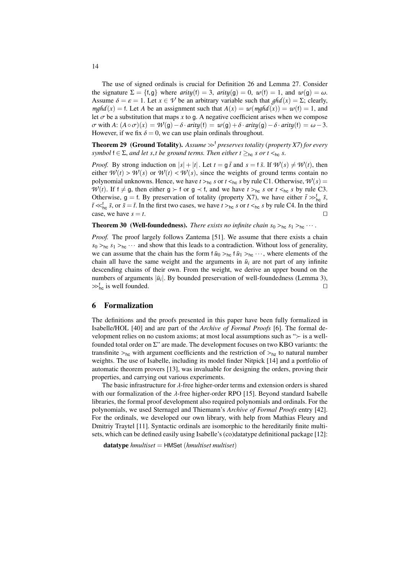The use of signed ordinals is crucial for Definition [26](#page-12-1) and Lemma [27.](#page-12-0) Consider the signature  $\Sigma = \{f, g\}$  where *arity*(f) = 3, *arity*(g) = 0,  $w(f) = 1$ , and  $w(g) = \omega$ . Assume  $\delta = \varepsilon = 1$ . Let  $x \in V$  be an arbitrary variable such that  $ghd(x) = \Sigma$ ; clearly, *mghd*(*x*) = f. Let *A* be an assignment such that  $A(x) = w(\text{mghd}(x)) = w(f) = 1$ , and let  $\sigma$  be a substitution that maps x to g. A negative coefficient arises when we compose  $\sigma$  with *A*:  $(A \circ \sigma)(x) = \mathcal{W}(\mathfrak{g}) - \delta \cdot \text{arity}(\mathfrak{f}) = \mathcal{w}(\mathfrak{g}) + \delta \cdot \text{arity}(\mathfrak{g}) - \delta \cdot \text{arity}(\mathfrak{f}) = \omega - 3.$ However, if we fix  $\delta = 0$ , we can use plain ordinals throughout.

**Theorem 29** (Ground Totality). Assume  $\gg^{\dagger}$  preserves totality (property *X7*) for every *symbol*  $f \in \Sigma$ , *and let s,t be ground terms. Then either*  $t \geq_{hc} s$  *or*  $t \leq_{hc} s$ .

*Proof.* By strong induction on  $|s| + |t|$ . Let  $t = g \bar{t}$  and  $s = f \bar{s}$ . If  $\mathcal{W}(s) \neq \mathcal{W}(t)$ , then either  $W(t) > W(s)$  or  $W(t) < W(s)$ , since the weights of ground terms contain no polynomial unknowns. Hence, we have  $t >_{hc} s$  or  $t <_{hc} s$  by rule [C1.](#page-10-3) Otherwise,  $W(s) =$ *W*(*t*). If  $f \neq g$ , then either  $g \succ f$  or  $g \prec f$ , and we have  $t >_{hc} s$  or  $t <_{hc} s$  by rule [C3.](#page-10-4) Otherwise,  $g = f$ . By preservation of totality (property [X7\)](#page-3-9), we have either  $\bar{t} \gg_{\text{loc}}^f \bar{s}$ ,  $\bar{s}$ ,  $\bar{t}$ ,  $\bar{s}$ ,  $\bar{t}$ ,  $\bar{s}$ ,  $\bar{t}$ ,  $\bar{s}$ ,  $\bar{t}$ ,  $\bar{t}$ ,  $\bar{t}$ ,  $\bar{t}$ ,  $\bar{t}$ ,  $\bar{t}$ ,  $\bar{t}$ ,  $\bar{t}$  <  $\leq$   $\frac{t}{\ln a}$ ,  $\bar{s}$ , or  $\bar{s} = \bar{t}$ . In the first two cases, we have  $t >_{\ln a} s$  or  $t <_{\ln a} s$  by rule [C4.](#page-10-2) In the third case, we have  $s = t$ .

**Theorem 30 (Well-foundedness).** *There exists no infinite chain*  $s_0 >_{hc} s_1 >_{hc} \cdots$ .

*Proof.* The proof largely follows Zantema [\[51\]](#page-18-7). We assume that there exists a chain  $s_0 >_{hc} s_1 >_{hc} \cdots$  and show that this leads to a contradiction. Without loss of generality, we can assume that the chain has the form  $f\bar{u}_0 >_{hc} f\bar{u}_1 >_{hc} \cdots$ , where elements of the chain all have the same weight and the arguments in  $\bar{u}_i$  are not part of any infinite descending chains of their own. From the weight, we derive an upper bound on the numbers of arguments  $|\bar{u}_i|$ . By bounded preservation of well-foundedness (Lemma [3\)](#page-3-5),  $\gg_{\text{hc}}^f$  is well founded.

## <span id="page-13-0"></span>6 Formalization

The definitions and the proofs presented in this paper have been fully formalized in Isabelle/HOL [\[40\]](#page-18-11) and are part of the *Archive of Formal Proofs* [\[6\]](#page-16-8). The formal development relies on no custom axioms; at most local assumptions such as " $\succ$  is a wellfounded total order on  $\Sigma$ " are made. The development focuses on two KBO variants: the transfinite  $>_{hc}$  with argument coefficients and the restriction of  $>_{hz}$  to natural number weights. The use of Isabelle, including its model finder Nitpick [\[14\]](#page-16-9) and a portfolio of automatic theorem provers [\[13\]](#page-16-3), was invaluable for designing the orders, proving their properties, and carrying out various experiments.

The basic infrastructure for  $\lambda$ -free higher-order terms and extension orders is shared with our formalization of the  $\lambda$ -free higher-order RPO [\[15\]](#page-17-18). Beyond standard Isabelle libraries, the formal proof development also required polynomials and ordinals. For the polynomials, we used Sternagel and Thiemann's *Archive of Formal Proofs* entry [\[42\]](#page-18-12). For the ordinals, we developed our own library, with help from Mathias Fleury and Dmitriy Traytel [\[11\]](#page-16-10). Syntactic ordinals are isomorphic to the hereditarily finite multisets, which can be defined easily using Isabelle's (co)datatype definitional package [\[12\]](#page-16-11):

datatype *hmultiset* = HMSet (*hmultiset multiset*)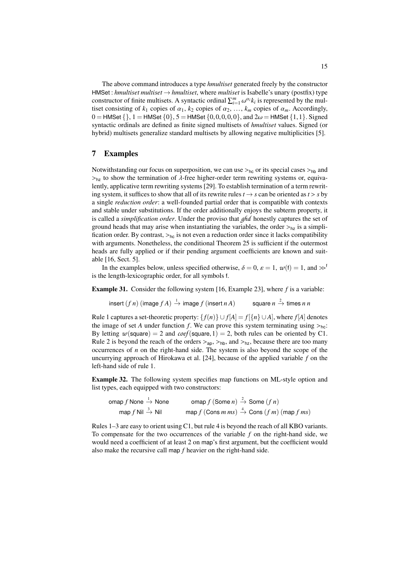The above command introduces a type *hmultiset* generated freely by the constructor HMSet : *hmultiset multiset* → *hmultiset*, where *multiset* is Isabelle's unary (postfix) type constructor of finite multisets. A syntactic ordinal  $\sum_{i=1}^{m} \omega^{\alpha_i} k_i$  is represented by the multiset consisting of *k*<sub>1</sub> copies of  $\alpha_1$ , *k*<sub>2</sub> copies of  $\alpha_2$ , ..., *k<sub>m</sub>* copies of  $\alpha_m$ . Accordingly,<br>  $0 - \text{HMSet} \{1\} = \text{HMSet} \{0\}$ ,  $5 - \text{HMSet} \{0, 0, 0, 0\}$ , and  $2\omega - \text{HMSet} \{1, 1\}$ . Signed  $0 =$  HMSet  $\{ \}, 1 =$  HMSet  $\{0\}, 5 =$  HMSet  $\{0,0,0,0,0\}$ , and  $2\omega =$  HMSet  $\{1,1\}$ . Signed syntactic ordinals are defined as finite signed multisets of *hmultiset* values. Signed (or hybrid) multisets generalize standard multisets by allowing negative multiplicities [\[5\]](#page-16-12).

# <span id="page-14-0"></span>7 Examples

Notwithstanding our focus on superposition, we can use  $>_{hc}$  or its special cases  $>_{hb}$  and  $>_{\text{hz}}$  to show the termination of  $\lambda$ -free higher-order term rewriting systems or, equivalently, applicative term rewriting systems [\[29\]](#page-17-13). To establish termination of a term rewriting system, it suffices to show that all of its rewrite rules  $t \rightarrow s$  can be oriented as  $t > s$  by a single *reduction order*: a well-founded partial order that is compatible with contexts and stable under substitutions. If the order additionally enjoys the subterm property, it is called a *simplification order*. Under the proviso that *ghd* honestly captures the set of ground heads that may arise when instantiating the variables, the order  $>_{hz}$  is a simplification order. By contrast,  $>_{hc}$  is not even a reduction order since it lacks compatibility with arguments. Nonetheless, the conditional Theorem [25](#page-12-2) is sufficient if the outermost heads are fully applied or if their pending argument coefficients are known and suitable [\[16,](#page-17-2) Sect. 5].

In the examples below, unless specified otherwise,  $\delta = 0$ ,  $\varepsilon = 1$ ,  $w(f) = 1$ , and  $\gg^f$ is the length-lexicographic order, for all symbols f.

Example 31. Consider the following system [\[16,](#page-17-2) Example 23], where *f* is a variable:

 $\mathsf{insert}\,(f\,n)\,(\mathsf{image}\,f\,A)\stackrel{1}{\to}\mathsf{image}\,f\,(\mathsf{insert}\,n\,A)$  square  $n$ square  $n \stackrel{2}{\rightarrow}$  times *n n* 

Rule 1 captures a set-theoretic property:  $\{f(n)\} \cup f[A] = f[\{n\} \cup A]$ , where  $f[A]$  denotes the image of set *A* under function *f*. We can prove this system terminating using  $>_{hc}$ . By letting  $w$ (square) = 2 and *coef*(square, 1) = 2, both rules can be oriented by [C1.](#page-10-3) Rule 2 is beyond the reach of the orders  $>_{\text{ap}}$ ,  $>_{\text{hb}}$ , and  $>_{\text{hz}}$ , because there are too many occurrences of *n* on the right-hand side. The system is also beyond the scope of the uncurrying approach of Hirokawa et al. [\[24\]](#page-17-12), because of the applied variable *f* on the left-hand side of rule 1.

<span id="page-14-1"></span>Example 32. The following system specifies map functions on ML-style option and list types, each equipped with two constructors:

 $\mathsf{p} \in \mathsf{p}$   $f$  None  $\overline{\mathsf{p}}$   $f$   $(\mathsf{Some} \; n) \stackrel{?}{\rightarrow} \mathsf{Some} \; (f \; n)$  $\mathsf{map}\, f$  Nil  $\overset{3}{\rightarrow}$  Nil  $\qquad \qquad \mathsf{map}\, f$  (Cons  $m\, m s) \overset{4}{\rightarrow} \mathsf{Cons}\, (f\, m)$  (map  $f\, m s)$ 

Rules 1–3 are easy to orient using [C1,](#page-10-3) but rule 4 is beyond the reach of all KBO variants. To compensate for the two occurrences of the variable *f* on the right-hand side, we would need a coefficient of at least 2 on map's first argument, but the coefficient would also make the recursive call map *f* heavier on the right-hand side.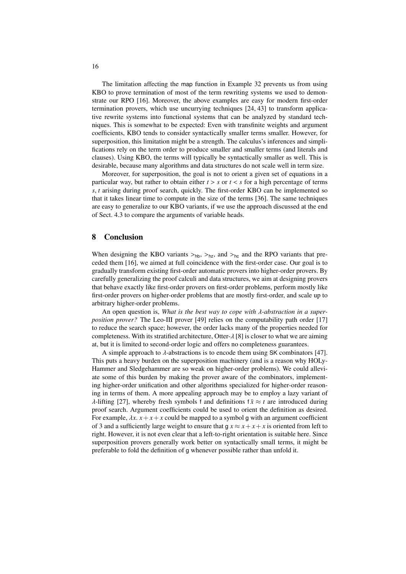The limitation affecting the map function in Example [32](#page-14-1) prevents us from using KBO to prove termination of most of the term rewriting systems we used to demonstrate our RPO [\[16\]](#page-17-2). Moreover, the above examples are easy for modern first-order termination provers, which use uncurrying techniques [\[24,](#page-17-12) [43\]](#page-18-13) to transform applicative rewrite systems into functional systems that can be analyzed by standard techniques. This is somewhat to be expected: Even with transfinite weights and argument coefficients, KBO tends to consider syntactically smaller terms smaller. However, for superposition, this limitation might be a strength. The calculus's inferences and simplifications rely on the term order to produce smaller and smaller terms (and literals and clauses). Using KBO, the terms will typically be syntactically smaller as well. This is desirable, because many algorithms and data structures do not scale well in term size.

Moreover, for superposition, the goal is not to orient a given set of equations in a particular way, but rather to obtain either  $t > s$  or  $t < s$  for a high percentage of terms *<sup>s</sup>*, *<sup>t</sup>* arising during proof search, quickly. The first-order KBO can be implemented so that it takes linear time to compute in the size of the terms [\[36\]](#page-18-14). The same techniques are easy to generalize to our KBO variants, if we use the approach discussed at the end of Sect. [4.3](#page-6-0) to compare the arguments of variable heads.

# 8 Conclusion

When designing the KBO variants  $>_{hb}$ ,  $>_{hz}$ , and  $>_{hc}$  and the RPO variants that preceded them [\[16\]](#page-17-2), we aimed at full coincidence with the first-order case. Our goal is to gradually transform existing first-order automatic provers into higher-order provers. By carefully generalizing the proof calculi and data structures, we aim at designing provers that behave exactly like first-order provers on first-order problems, perform mostly like first-order provers on higher-order problems that are mostly first-order, and scale up to arbitrary higher-order problems.

An open question is, *What is the best way to cope with* λ*-abstraction in a superposition prover?* The Leo-III prover [\[49\]](#page-18-15) relies on the computability path order [\[17\]](#page-17-6) to reduce the search space; however, the order lacks many of the properties needed for completeness. With its stratified architecture, Otter- $\lambda$  [\[8\]](#page-16-13) is closer to what we are aiming at, but it is limited to second-order logic and offers no completeness guarantees.

A simple approach to  $\lambda$ -abstractions is to encode them using SK combinators [\[47\]](#page-18-16). This puts a heavy burden on the superposition machinery (and is a reason why HOLy-Hammer and Sledgehammer are so weak on higher-order problems). We could alleviate some of this burden by making the prover aware of the combinators, implementing higher-order unification and other algorithms specialized for higher-order reasoning in terms of them. A more appealing approach may be to employ a lazy variant of  $\lambda$ -lifting [\[27\]](#page-17-19), whereby fresh symbols f and definitions  $f \overline{x} \approx t$  are introduced during proof search. Argument coefficients could be used to orient the definition as desired. For example,  $\lambda x$ .  $x + x + x$  could be mapped to a symbol g with an argument coefficient of 3 and a sufficiently large weight to ensure that  $g x \approx x + x + x$  is oriented from left to right. However, it is not even clear that a left-to-right orientation is suitable here. Since superposition provers generally work better on syntactically small terms, it might be preferable to fold the definition of g whenever possible rather than unfold it.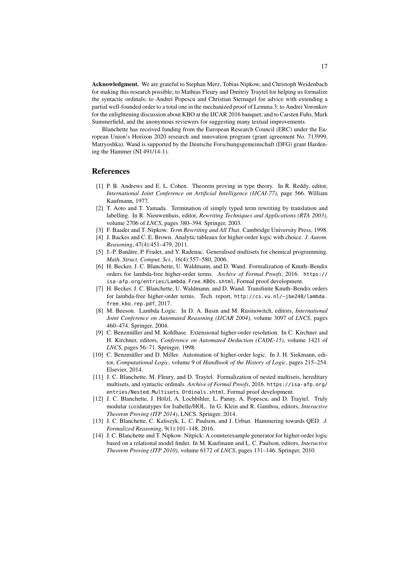Acknowledgment. We are grateful to Stephan Merz, Tobias Nipkow, and Christoph Weidenbach for making this research possible; to Mathias Fleury and Dmitriy Traytel for helping us formalize the syntactic ordinals; to Andrei Popescu and Christian Sternagel for advice with extending a partial well-founded order to a total one in the mechanized proof of Lemma [3;](#page-3-5) to Andrei Voronkov for the enlightening discussion about KBO at the IJCAR 2016 banquet; and to Carsten Fuhs, Mark Summerfield, and the anonymous reviewers for suggesting many textual improvements.

Blanchette has received funding from the European Research Council (ERC) under the European Union's Horizon 2020 research and innovation program (grant agreement No. 713999, Matryoshka). Wand is supported by the Deutsche Forschungsgemeinschaft (DFG) grant Hardening the Hammer (NI 491/14-1).

#### References

- <span id="page-16-2"></span>[1] P. B. Andrews and E. L. Cohen. Theorem proving in type theory. In R. Reddy, editor, *International Joint Conference on Artificial Intelligence (IJCAI-77)*, page 566. William Kaufmann, 1977.
- <span id="page-16-6"></span>[2] T. Aoto and T. Yamada. Termination of simply typed term rewriting by translation and labelling. In R. Nieuwenhuis, editor, *Rewriting Techniques and Applications (RTA 2003)*, volume 2706 of *LNCS*, pages 380–394. Springer, 2003.
- <span id="page-16-7"></span>[3] F. Baader and T. Nipkow. *Term Rewriting and All That*. Cambridge University Press, 1998.
- <span id="page-16-1"></span>[4] J. Backes and C. E. Brown. Analytic tableaux for higher-order logic with choice. *J. Autom. Reasoning*, 47(4):451–479, 2011.
- <span id="page-16-12"></span>[5] J.-P. Banâtre, P. Fradet, and Y. Radenac. Generalised multisets for chemical programming. *Math. Struct. Comput. Sci.*, 16(4):557–580, 2006.
- <span id="page-16-8"></span>[6] H. Becker, J. C. Blanchette, U. Waldmann, and D. Wand. Formalization of Knuth–Bendix orders for lambda-free higher-order terms. *Archive of Formal Proofs*, 2016. [https://](https://isa-afp.org/entries/Lambda_Free_KBOs.shtml) [isa-afp.org/entries/Lambda\\_Free\\_KBOs.shtml](https://isa-afp.org/entries/Lambda_Free_KBOs.shtml), Formal proof development.
- <span id="page-16-5"></span>[7] H. Becker, J. C. Blanchette, U. Waldmann, and D. Wand. Transfinite Knuth–Bendix orders for lambda-free higher-order terms. Tech. report, [http://cs.vu.nl/~jbe248/lambda\\_](http://cs.vu.nl/~jbe248/lambda_free_kbo_rep.pdf) [free\\_kbo\\_rep.pdf](http://cs.vu.nl/~jbe248/lambda_free_kbo_rep.pdf), 2017.
- <span id="page-16-13"></span>[8] M. Beeson. Lambda Logic. In D. A. Basin and M. Rusinowitch, editors, *International Joint Conference on Automated Reasoning (IJCAR 2004)*, volume 3097 of *LNCS*, pages 460–474. Springer, 2004.
- <span id="page-16-0"></span>[9] C. Benzmüller and M. Kohlhase. Extensional higher-order resolution. In C. Kirchner and H. Kirchner, editors, *Conference on Automated Deduction (CADE-15)*, volume 1421 of *LNCS*, pages 56–71. Springer, 1998.
- <span id="page-16-4"></span>[10] C. Benzmüller and D. Miller. Automation of higher-order logic. In J. H. Siekmann, editor, *Computational Logic*, volume 9 of *Handbook of the History of Logic*, pages 215–254. Elsevier, 2014.
- <span id="page-16-10"></span>[11] J. C. Blanchette, M. Fleury, and D. Traytel. Formalization of nested multisets, hereditary multisets, and syntactic ordinals. *Archive of Formal Proofs*, 2016. [https://isa-afp.org/](https://isa-afp.org/entries/Nested_Multisets_Ordinals.shtml) [entries/Nested\\_Multisets\\_Ordinals.shtml](https://isa-afp.org/entries/Nested_Multisets_Ordinals.shtml), Formal proof development.
- <span id="page-16-11"></span>[12] J. C. Blanchette, J. Hölzl, A. Lochbihler, L. Panny, A. Popescu, and D. Traytel. Truly modular (co)datatypes for Isabelle/HOL. In G. Klein and R. Gamboa, editors, *Interactive Theorem Proving (ITP 2014)*, LNCS. Springer, 2014.
- <span id="page-16-3"></span>[13] J. C. Blanchette, C. Kaliszyk, L. C. Paulson, and J. Urban. Hammering towards QED. *J. Formalized Reasoning*, 9(1):101–148, 2016.
- <span id="page-16-9"></span>[14] J. C. Blanchette and T. Nipkow. Nitpick: A counterexample generator for higher-order logic based on a relational model finder. In M. Kaufmann and L. C. Paulson, editors, *Interactive Theorem Proving (ITP 2010)*, volume 6172 of *LNCS*, pages 131–146. Springer, 2010.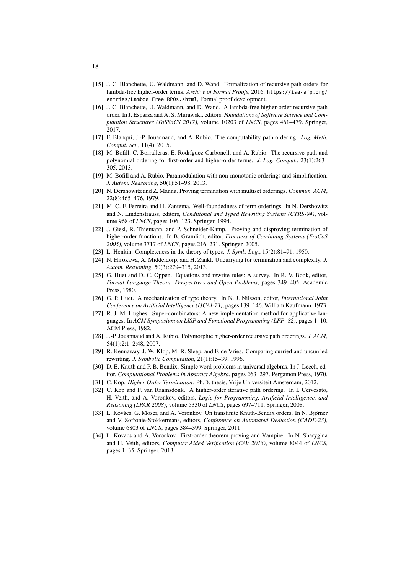- <span id="page-17-18"></span>[15] J. C. Blanchette, U. Waldmann, and D. Wand. Formalization of recursive path orders for lambda-free higher-order terms. *Archive of Formal Proofs*, 2016. [https://isa-afp.org/](https://isa-afp.org/entries/Lambda_Free_RPOs.shtml) [entries/Lambda\\_Free\\_RPOs.shtml](https://isa-afp.org/entries/Lambda_Free_RPOs.shtml), Formal proof development.
- <span id="page-17-2"></span>[16] J. C. Blanchette, U. Waldmann, and D. Wand. A lambda-free higher-order recursive path order. In J. Esparza and A. S. Murawski, editors, *Foundations of Software Science and Computation Structures (FoSSaCS 2017)*, volume 10203 of *LNCS*, pages 461–479. Springer, 2017.
- <span id="page-17-6"></span>[17] F. Blanqui, J.-P. Jouannaud, and A. Rubio. The computability path ordering. *Log. Meth. Comput. Sci.*, 11(4), 2015.
- <span id="page-17-7"></span>[18] M. Bofill, C. Borralleras, E. Rodríguez-Carbonell, and A. Rubio. The recursive path and polynomial ordering for first-order and higher-order terms. *J. Log. Comput.*, 23(1):263– 305, 2013.
- <span id="page-17-5"></span>[19] M. Bofill and A. Rubio. Paramodulation with non-monotonic orderings and simplification. *J. Autom. Reasoning*, 50(1):51–98, 2013.
- <span id="page-17-16"></span>[20] N. Dershowitz and Z. Manna. Proving termination with multiset orderings. *Commun. ACM*, 22(8):465–476, 1979.
- <span id="page-17-14"></span>[21] M. C. F. Ferreira and H. Zantema. Well-foundedness of term orderings. In N. Dershowitz and N. Lindenstrauss, editors, *Conditional and Typed Rewriting Systems (CTRS-94)*, volume 968 of *LNCS*, pages 106–123. Springer, 1994.
- <span id="page-17-11"></span>[22] J. Giesl, R. Thiemann, and P. Schneider-Kamp. Proving and disproving termination of higher-order functions. In B. Gramlich, editor, *Frontiers of Combining Systems (FroCoS 2005)*, volume 3717 of *LNCS*, pages 216–231. Springer, 2005.
- <span id="page-17-1"></span>[23] L. Henkin. Completeness in the theory of types. *J. Symb. Log.*, 15(2):81–91, 1950.
- <span id="page-17-12"></span>[24] N. Hirokawa, A. Middeldorp, and H. Zankl. Uncurrying for termination and complexity. *J. Autom. Reasoning*, 50(3):279–315, 2013.
- <span id="page-17-15"></span>[25] G. Huet and D. C. Oppen. Equations and rewrite rules: A survey. In R. V. Book, editor, *Formal Language Theory: Perspectives and Open Problems*, pages 349–405. Academic Press, 1980.
- <span id="page-17-0"></span>[26] G. P. Huet. A mechanization of type theory. In N. J. Nilsson, editor, *International Joint Conference on Artificial Intelligence (IJCAI-73)*, pages 139–146. William Kaufmann, 1973.
- <span id="page-17-19"></span>[27] R. J. M. Hughes. Super-combinators: A new implementation method for applicative languages. In *ACM Symposium on LISP and Functional Programming (LFP '82)*, pages 1–10. ACM Press, 1982.
- <span id="page-17-8"></span>[28] J.-P. Jouannaud and A. Rubio. Polymorphic higher-order recursive path orderings. *J. ACM*, 54(1):2:1–2:48, 2007.
- <span id="page-17-13"></span>[29] R. Kennaway, J. W. Klop, M. R. Sleep, and F. de Vries. Comparing curried and uncurried rewriting. *J. Symbolic Computation*, 21(1):15–39, 1996.
- <span id="page-17-3"></span>[30] D. E. Knuth and P. B. Bendix. Simple word problems in universal algebras. In J. Leech, editor, *Computational Problems in Abstract Algebra*, pages 263–297. Pergamon Press, 1970.
- <span id="page-17-9"></span>[31] C. Kop. *Higher Order Termination*. Ph.D. thesis, Vrije Universiteit Amsterdam, 2012.
- <span id="page-17-10"></span>[32] C. Kop and F. van Raamsdonk. A higher-order iterative path ordering. In I. Cervesato, H. Veith, and A. Voronkov, editors, *Logic for Programming, Artificial Intelligence, and Reasoning (LPAR 2008)*, volume 5330 of *LNCS*, pages 697–711. Springer, 2008.
- <span id="page-17-17"></span>[33] L. Kovács, G. Moser, and A. Voronkov. On transfinite Knuth-Bendix orders. In N. Bjørner and V. Sofronie-Stokkermans, editors, *Conference on Automated Deduction (CADE-23)*, volume 6803 of *LNCS*, pages 384–399. Springer, 2011.
- <span id="page-17-4"></span>[34] L. Kovács and A. Voronkov. First-order theorem proving and Vampire. In N. Sharygina and H. Veith, editors, *Computer Aided Verification (CAV 2013)*, volume 8044 of *LNCS*, pages 1–35. Springer, 2013.